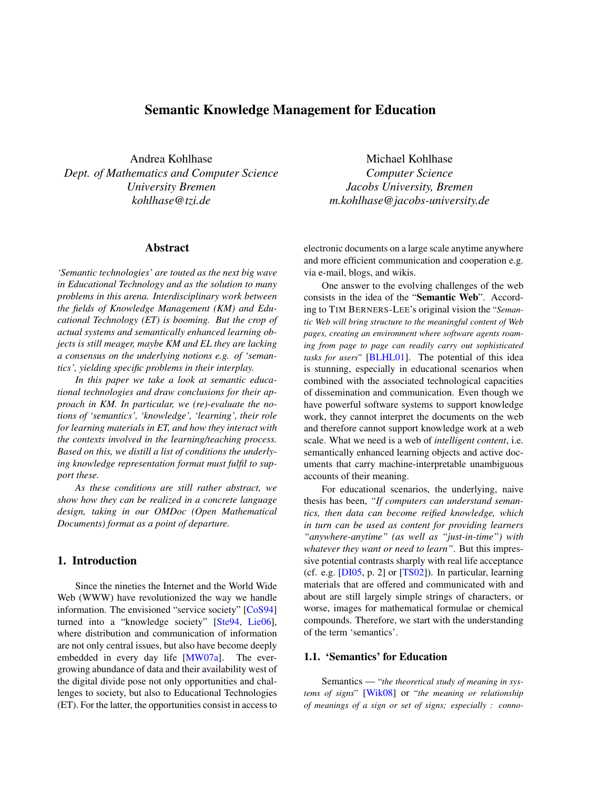# Semantic Knowledge Management for Education

Andrea Kohlhase *Dept. of Mathematics and Computer Science University Bremen kohlhase@tzi.de*

# Abstract

*'Semantic technologies' are touted as the next big wave in Educational Technology and as the solution to many problems in this arena. Interdisciplinary work between the fields of Knowledge Management (KM) and Educational Technology (ET) is booming. But the crop of actual systems and semantically enhanced learning objects is still meager, maybe KM and EL they are lacking a consensus on the underlying notions e.g. of 'semantics', yielding specific problems in their interplay.*

*In this paper we take a look at semantic educational technologies and draw conclusions for their approach in KM. In particular, we (re)-evaluate the notions of 'semantics', 'knowledge', 'learning', their role for learning materials in ET, and how they interact with the contexts involved in the learning/teaching process. Based on this, we distill a list of conditions the underlying knowledge representation format must fulfil to support these.*

*As these conditions are still rather abstract, we show how they can be realized in a concrete language design, taking in our OMDoc (Open Mathematical Documents) format as a point of departure.*

# 1. Introduction

Since the nineties the Internet and the World Wide Web (WWW) have revolutionized the way we handle information. The envisioned "service society" [\[CoS94\]](#page-20-0) turned into a "knowledge society" [\[Ste94,](#page-23-0) [Lie06\]](#page-21-0), where distribution and communication of information are not only central issues, but also have become deeply embedded in every day life [\[MW07a\]](#page-22-0). The evergrowing abundance of data and their availability west of the digital divide pose not only opportunities and challenges to society, but also to Educational Technologies (ET). For the latter, the opportunities consist in access to

Michael Kohlhase *Computer Science Jacobs University, Bremen m.kohlhase@jacobs-university.de*

electronic documents on a large scale anytime anywhere and more efficient communication and cooperation e.g. via e-mail, blogs, and wikis.

One answer to the evolving challenges of the web consists in the idea of the "Semantic Web". According to TIM BERNERS-LEE's original vision the "*Semantic Web will bring structure to the meaningful content of Web pages, creating an environment where software agents roaming from page to page can readily carry out sophisticated tasks for users*" [\[BLHL01\]](#page-20-1). The potential of this idea is stunning, especially in educational scenarios when combined with the associated technological capacities of dissemination and communication. Even though we have powerful software systems to support knowledge work, they cannot interpret the documents on the web and therefore cannot support knowledge work at a web scale. What we need is a web of *intelligent content*, i.e. semantically enhanced learning objects and active documents that carry machine-interpretable unambiguous accounts of their meaning.

For educational scenarios, the underlying, naive thesis has been, *"If computers can understand semantics, then data can become reified knowledge, which in turn can be used as content for providing learners "anywhere-anytime" (as well as "just-in-time") with whatever they want or need to learn"*. But this impressive potential contrasts sharply with real life acceptance (cf. e.g.  $[D105, p. 2]$  or  $[TS02]$ ). In particular, learning materials that are offered and communicated with and about are still largely simple strings of characters, or worse, images for mathematical formulae or chemical compounds. Therefore, we start with the understanding of the term 'semantics'.

# 1.1. 'Semantics' for Education

Semantics — "*the theoretical study of meaning in systems of signs*" [\[Wik08\]](#page-23-2) or "*the meaning or relationship of meanings of a sign or set of signs; especially : conno-*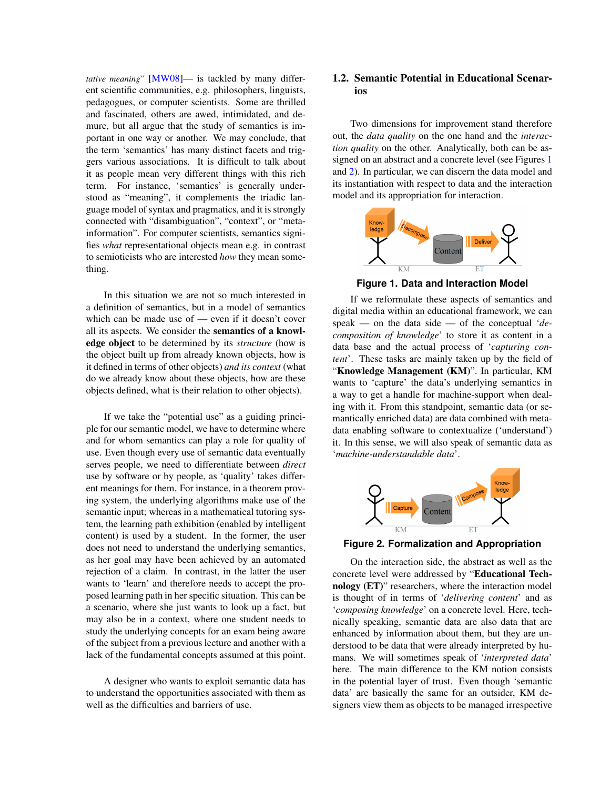*tative meaning*" [\[MW08\]](#page-22-1)— is tackled by many different scientific communities, e.g. philosophers, linguists, pedagogues, or computer scientists. Some are thrilled and fascinated, others are awed, intimidated, and demure, but all argue that the study of semantics is important in one way or another. We may conclude, that the term 'semantics' has many distinct facets and triggers various associations. It is difficult to talk about it as people mean very different things with this rich term. For instance, 'semantics' is generally understood as "meaning", it complements the triadic language model of syntax and pragmatics, and it is strongly connected with "disambiguation", "context", or "metainformation". For computer scientists, semantics signifies *what* representational objects mean e.g. in contrast to semioticists who are interested *how* they mean something.

In this situation we are not so much interested in a definition of semantics, but in a model of semantics which can be made use of — even if it doesn't cover all its aspects. We consider the semantics of a knowledge object to be determined by its *structure* (how is the object built up from already known objects, how is it defined in terms of other objects) *and its context* (what do we already know about these objects, how are these objects defined, what is their relation to other objects).

If we take the "potential use" as a guiding principle for our semantic model, we have to determine where and for whom semantics can play a role for quality of use. Even though every use of semantic data eventually serves people, we need to differentiate between *direct* use by software or by people, as 'quality' takes different meanings for them. For instance, in a theorem proving system, the underlying algorithms make use of the semantic input; whereas in a mathematical tutoring system, the learning path exhibition (enabled by intelligent content) is used by a student. In the former, the user does not need to understand the underlying semantics, as her goal may have been achieved by an automated rejection of a claim. In contrast, in the latter the user wants to 'learn' and therefore needs to accept the proposed learning path in her specific situation. This can be a scenario, where she just wants to look up a fact, but may also be in a context, where one student needs to study the underlying concepts for an exam being aware of the subject from a previous lecture and another with a lack of the fundamental concepts assumed at this point.

A designer who wants to exploit semantic data has to understand the opportunities associated with them as well as the difficulties and barriers of use.

# 1.2. Semantic Potential in Educational Scenarios

Two dimensions for improvement stand therefore out, the *data quality* on the one hand and the *interaction quality* on the other. Analytically, both can be assigned on an abstract and a concrete level (see Figures [1](#page-1-0) and [2\)](#page-1-1). In particular, we can discern the data model and its instantiation with respect to data and the interaction model and its appropriation for interaction.



<span id="page-1-0"></span>**Figure 1. Data and Interaction Model**

If we reformulate these aspects of semantics and digital media within an educational framework, we can speak — on the data side — of the conceptual '*decomposition of knowledge*' to store it as content in a data base and the actual process of '*capturing content*'. These tasks are mainly taken up by the field of "Knowledge Management (KM)". In particular, KM wants to 'capture' the data's underlying semantics in a way to get a handle for machine-support when dealing with it. From this standpoint, semantic data (or semantically enriched data) are data combined with metadata enabling software to contextualize ('understand') it. In this sense, we will also speak of semantic data as '*machine-understandable data*'.



<span id="page-1-1"></span>**Figure 2. Formalization and Appropriation**

On the interaction side, the abstract as well as the concrete level were addressed by "Educational Technology (ET)" researchers, where the interaction model is thought of in terms of '*delivering content*' and as '*composing knowledge*' on a concrete level. Here, technically speaking, semantic data are also data that are enhanced by information about them, but they are understood to be data that were already interpreted by humans. We will sometimes speak of '*interpreted data*' here. The main difference to the KM notion consists in the potential layer of trust. Even though 'semantic data' are basically the same for an outsider, KM designers view them as objects to be managed irrespective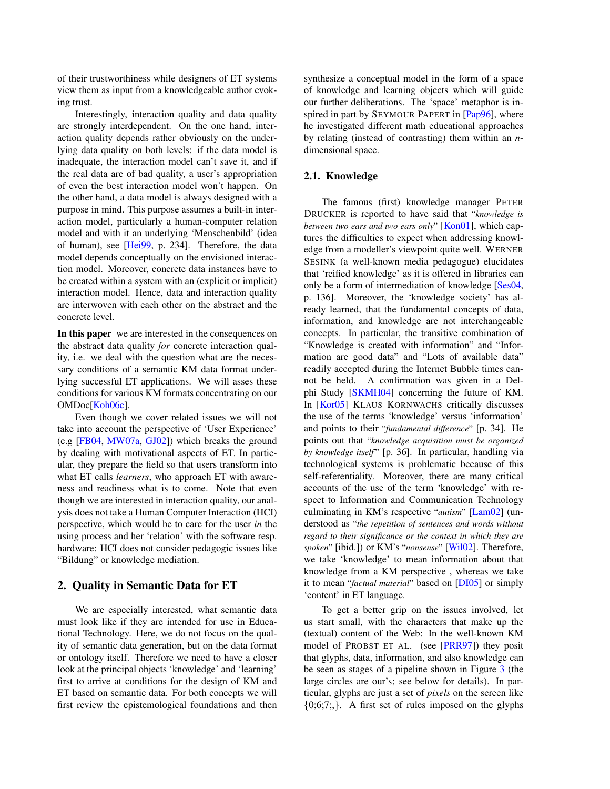of their trustworthiness while designers of ET systems view them as input from a knowledgeable author evoking trust.

Interestingly, interaction quality and data quality are strongly interdependent. On the one hand, interaction quality depends rather obviously on the underlying data quality on both levels: if the data model is inadequate, the interaction model can't save it, and if the real data are of bad quality, a user's appropriation of even the best interaction model won't happen. On the other hand, a data model is always designed with a purpose in mind. This purpose assumes a built-in interaction model, particularly a human-computer relation model and with it an underlying 'Menschenbild' (idea of human), see [\[Hei99,](#page-20-3) p. 234]. Therefore, the data model depends conceptually on the envisioned interaction model. Moreover, concrete data instances have to be created within a system with an (explicit or implicit) interaction model. Hence, data and interaction quality are interwoven with each other on the abstract and the concrete level.

In this paper we are interested in the consequences on the abstract data quality *for* concrete interaction quality, i.e. we deal with the question what are the necessary conditions of a semantic KM data format underlying successful ET applications. We will asses these conditions for various KM formats concentrating on our OMDoc[\[Koh06c\]](#page-21-1).

Even though we cover related issues we will not take into account the perspective of 'User Experience' (e.g [\[FB04,](#page-20-4) [MW07a,](#page-22-0) [GJ02\]](#page-20-5)) which breaks the ground by dealing with motivational aspects of ET. In particular, they prepare the field so that users transform into what ET calls *learners*, who approach ET with awareness and readiness what is to come. Note that even though we are interested in interaction quality, our analysis does not take a Human Computer Interaction (HCI) perspective, which would be to care for the user *in* the using process and her 'relation' with the software resp. hardware: HCI does not consider pedagogic issues like "Bildung" or knowledge mediation.

# 2. Quality in Semantic Data for ET

We are especially interested, what semantic data must look like if they are intended for use in Educational Technology. Here, we do not focus on the quality of semantic data generation, but on the data format or ontology itself. Therefore we need to have a closer look at the principal objects 'knowledge' and 'learning' first to arrive at conditions for the design of KM and ET based on semantic data. For both concepts we will first review the epistemological foundations and then

synthesize a conceptual model in the form of a space of knowledge and learning objects which will guide our further deliberations. The 'space' metaphor is inspired in part by SEYMOUR PAPERT in [\[Pap96\]](#page-22-2), where he investigated different math educational approaches by relating (instead of contrasting) them within an *n*dimensional space.

# 2.1. Knowledge

The famous (first) knowledge manager PETER DRUCKER is reported to have said that "*knowledge is between two ears and two ears only*" [\[Kon01\]](#page-21-2), which captures the difficulties to expect when addressing knowledge from a modeller's viewpoint quite well. WERNER SESINK (a well-known media pedagogue) elucidates that 'reified knowledge' as it is offered in libraries can only be a form of intermediation of knowledge [\[Ses04,](#page-22-3) p. 136]. Moreover, the 'knowledge society' has already learned, that the fundamental concepts of data, information, and knowledge are not interchangeable concepts. In particular, the transitive combination of "Knowledge is created with information" and "Information are good data" and "Lots of available data" readily accepted during the Internet Bubble times cannot be held. A confirmation was given in a Delphi Study [\[SKMH04\]](#page-22-4) concerning the future of KM. In [\[Kor05\]](#page-21-3) KLAUS KORNWACHS critically discusses the use of the terms 'knowledge' versus 'information' and points to their "*fundamental difference*" [p. 34]. He points out that "*knowledge acquisition must be organized by knowledge itself*" [p. 36]. In particular, handling via technological systems is problematic because of this self-referentiality. Moreover, there are many critical accounts of the use of the term 'knowledge' with respect to Information and Communication Technology culminating in KM's respective "*autism*" [\[Lam02\]](#page-21-4) (understood as "*the repetition of sentences and words without regard to their significance or the context in which they are spoken*" [ibid.]) or KM's "*nonsense*" [\[Wil02\]](#page-23-3). Therefore, we take 'knowledge' to mean information about that knowledge from a KM perspective , whereas we take it to mean "*factual material*" based on [\[DI05\]](#page-20-2) or simply 'content' in ET language.

To get a better grip on the issues involved, let us start small, with the characters that make up the (textual) content of the Web: In the well-known KM model of PROBST ET AL. (see [\[PRR97\]](#page-22-5)) they posit that glyphs, data, information, and also knowledge can be seen as stages of a pipeline shown in Figure [3](#page-3-0) (the large circles are our's; see below for details). In particular, glyphs are just a set of *pixels* on the screen like  $\{0,6,7,\}$ . A first set of rules imposed on the glyphs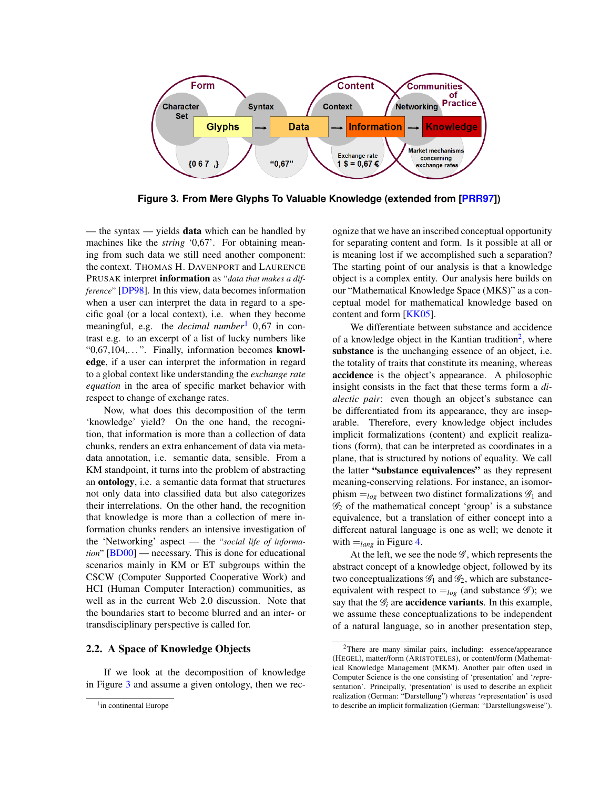

<span id="page-3-0"></span>**Figure 3. From Mere Glyphs To Valuable Knowledge (extended from [\[PRR97\]](#page-22-5))**

— the syntax — yields **data** which can be handled by machines like the *string* '0,67'. For obtaining meaning from such data we still need another component: the context. THOMAS H. DAVENPORT and LAURENCE PRUSAK interpret information as "*data that makes a difference*" [\[DP98\]](#page-20-6). In this view, data becomes information when a user can interpret the data in regard to a specific goal (or a local context), i.e. when they become meaningful, e.g. the *decimal number*<sup>[1](#page-3-1)</sup> 0,67 in contrast e.g. to an excerpt of a list of lucky numbers like " $0,67,104,...$ ". Finally, information becomes knowledge, if a user can interpret the information in regard to a global context like understanding the *exchange rate equation* in the area of specific market behavior with respect to change of exchange rates.

Now, what does this decomposition of the term 'knowledge' yield? On the one hand, the recognition, that information is more than a collection of data chunks, renders an extra enhancement of data via metadata annotation, i.e. semantic data, sensible. From a KM standpoint, it turns into the problem of abstracting an ontology, i.e. a semantic data format that structures not only data into classified data but also categorizes their interrelations. On the other hand, the recognition that knowledge is more than a collection of mere information chunks renders an intensive investigation of the 'Networking' aspect — the "*social life of information*" [\[BD00\]](#page-20-7) — necessary. This is done for educational scenarios mainly in KM or ET subgroups within the CSCW (Computer Supported Cooperative Work) and HCI (Human Computer Interaction) communities, as well as in the current Web 2.0 discussion. Note that the boundaries start to become blurred and an inter- or transdisciplinary perspective is called for.

### <span id="page-3-3"></span>2.2. A Space of Knowledge Objects

If we look at the decomposition of knowledge in Figure [3](#page-3-0) and assume a given ontology, then we recognize that we have an inscribed conceptual opportunity for separating content and form. Is it possible at all or is meaning lost if we accomplished such a separation? The starting point of our analysis is that a knowledge object is a complex entity. Our analysis here builds on our "Mathematical Knowledge Space (MKS)" as a conceptual model for mathematical knowledge based on content and form [\[KK05\]](#page-21-5).

We differentiate between substance and accidence of a knowledge object in the Kantian tradition<sup>[2](#page-3-2)</sup>, where substance is the unchanging essence of an object, i.e. the totality of traits that constitute its meaning, whereas accidence is the object's appearance. A philosophic insight consists in the fact that these terms form a *dialectic pair*: even though an object's substance can be differentiated from its appearance, they are inseparable. Therefore, every knowledge object includes implicit formalizations (content) and explicit realizations (form), that can be interpreted as coordinates in a plane, that is structured by notions of equality. We call the latter "substance equivalences" as they represent meaning-conserving relations. For instance, an isomorphism  $=_{log}$  between two distinct formalizations  $\mathscr{G}_1$  and  $\mathscr{G}_2$  of the mathematical concept 'group' is a substance equivalence, but a translation of either concept into a different natural language is one as well; we denote it with  $=_{lang}$  in Figure [4.](#page-4-0)

At the left, we see the node  $\mathscr G$ , which represents the abstract concept of a knowledge object, followed by its two conceptualizations  $\mathcal{G}_1$  and  $\mathcal{G}_2$ , which are substanceequivalent with respect to  $=_{log}$  (and substance  $\mathscr{G}$ ); we say that the  $\mathcal{G}_i$  are **accidence variants**. In this example, we assume these conceptualizations to be independent of a natural language, so in another presentation step,

<span id="page-3-1"></span><sup>&</sup>lt;sup>1</sup>in continental Europe

<span id="page-3-2"></span><sup>&</sup>lt;sup>2</sup>There are many similar pairs, including: essence/appearance (HEGEL), matter/form (ARISTOTELES), or content/form (Mathematical Knowledge Management (MKM). Another pair often used in Computer Science is the one consisting of 'presentation' and '*re*presentation'. Principally, 'presentation' is used to describe an explicit realization (German: "Darstellung") whereas '*re*presentation' is used to describe an implicit formalization (German: "Darstellungsweise").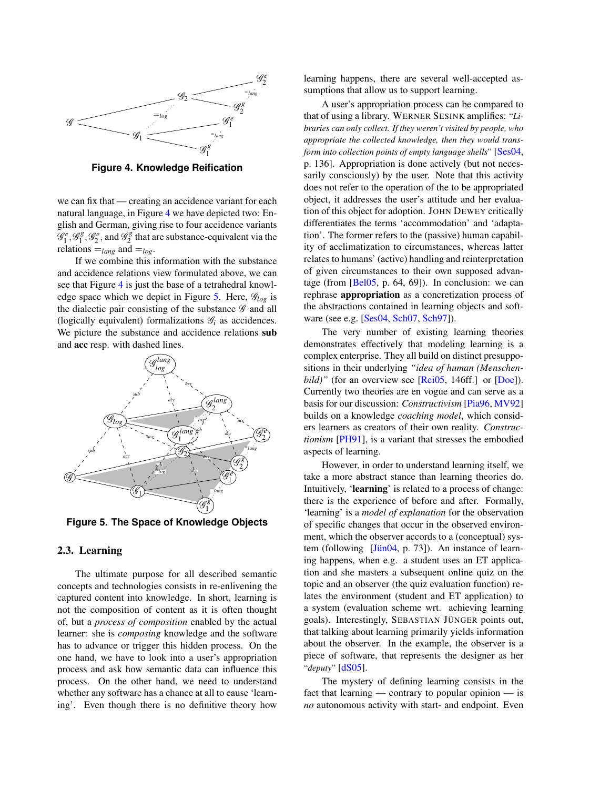

<span id="page-4-0"></span>**Figure 4. Knowledge Reification**

we can fix that — creating an accidence variant for each natural language, in Figure [4](#page-4-0) we have depicted two: English and German, giving rise to four accidence variants  $\mathscr{G}_1^e, \mathscr{G}_1^g$  $\mathscr{G}_2^g$ ,  $\mathscr{G}_2^e$ , and  $\mathscr{G}_2^g$  $\frac{2}{2}$  that are substance-equivalent via the relations  $=_{lang}$  and  $=_{log}$ .

If we combine this information with the substance and accidence relations view formulated above, we can see that Figure [4](#page-4-0) is just the base of a tetrahedral knowledge space which we depict in Figure [5.](#page-4-1) Here, G*log* is the dialectic pair consisting of the substance  $\mathscr G$  and all (logically equivalent) formalizations  $\mathcal{G}_i$  as accidences. We picture the substance and accidence relations sub and acc resp. with dashed lines.



<span id="page-4-1"></span>**Figure 5. The Space of Knowledge Objects**

# 2.3. Learning

The ultimate purpose for all described semantic concepts and technologies consists in re-enlivening the captured content into knowledge. In short, learning is not the composition of content as it is often thought of, but a *process of composition* enabled by the actual learner: she is *composing* knowledge and the software has to advance or trigger this hidden process. On the one hand, we have to look into a user's appropriation process and ask how semantic data can influence this process. On the other hand, we need to understand whether any software has a chance at all to cause 'learning'. Even though there is no definitive theory how

learning happens, there are several well-accepted assumptions that allow us to support learning.

A user's appropriation process can be compared to that of using a library. WERNER SESINK amplifies: "*Libraries can only collect. If they weren't visited by people, who appropriate the collected knowledge, then they would transform into collection points of empty language shells*" [\[Ses04,](#page-22-3) p. 136]. Appropriation is done actively (but not necessarily consciously) by the user. Note that this activity does not refer to the operation of the to be appropriated object, it addresses the user's attitude and her evaluation of this object for adoption. JOHN DEWEY critically differentiates the terms 'accommodation' and 'adaptation'. The former refers to the (passive) human capability of acclimatization to circumstances, whereas latter relates to humans' (active) handling and reinterpretation of given circumstances to their own supposed advantage (from  $[Bel05, p. 64, 69]$  $[Bel05, p. 64, 69]$ ). In conclusion: we can rephrase appropriation as a concretization process of the abstractions contained in learning objects and soft-ware (see e.g. [\[Ses04,](#page-22-3) [Sch07,](#page-22-6) [Sch97\]](#page-22-7)).

The very number of existing learning theories demonstrates effectively that modeling learning is a complex enterprise. They all build on distinct presuppositions in their underlying *"idea of human (Menschenbild)*" (for an overview see [\[Rei05,](#page-22-8) 146ff.] or [\[Doe\]](#page-20-9)). Currently two theories are en vogue and can serve as a basis for our discussion: *Constructivism* [\[Pia96,](#page-22-9) [MV92\]](#page-22-10) builds on a knowledge *coaching model*, which considers learners as creators of their own reality. *Constructionism* [\[PH91\]](#page-22-11), is a variant that stresses the embodied aspects of learning.

However, in order to understand learning itself, we take a more abstract stance than learning theories do. Intuitively, 'learning' is related to a process of change: there is the experience of before and after. Formally, 'learning' is a *model of explanation* for the observation of specific changes that occur in the observed environment, which the observer accords to a (conceptual) system (following  $[\text{Jün}04, p. 73]$ ). An instance of learning happens, when e.g. a student uses an ET application and she masters a subsequent online quiz on the topic and an observer (the quiz evaluation function) relates the environment (student and ET application) to a system (evaluation scheme wrt. achieving learning goals). Interestingly, SEBASTIAN JÜNGER points out, that talking about learning primarily yields information about the observer. In the example, the observer is a piece of software, that represents the designer as her "*deputy*" [\[dS05\]](#page-20-10).

The mystery of defining learning consists in the fact that learning — contrary to popular opinion — is *no* autonomous activity with start- and endpoint. Even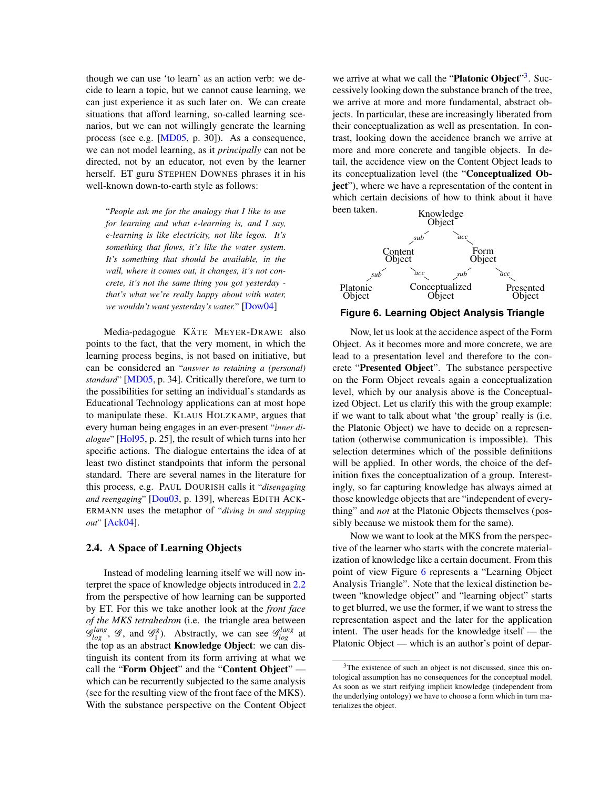though we can use 'to learn' as an action verb: we decide to learn a topic, but we cannot cause learning, we can just experience it as such later on. We can create situations that afford learning, so-called learning scenarios, but we can not willingly generate the learning process (see e.g. [\[MD05,](#page-22-12) p. 30]). As a consequence, we can not model learning, as it *principally* can not be directed, not by an educator, not even by the learner herself. ET guru STEPHEN DOWNES phrases it in his well-known down-to-earth style as follows:

"*People ask me for the analogy that I like to use for learning and what e-learning is, and I say, e-learning is like electricity, not like legos. It's something that flows, it's like the water system. It's something that should be available, in the wall, where it comes out, it changes, it's not concrete, it's not the same thing you got yesterday that's what we're really happy about with water, we wouldn't want yesterday's water.*" [\[Dow04\]](#page-20-11)

Media-pedagogue KÄTE MEYER-DRAWE also points to the fact, that the very moment, in which the learning process begins, is not based on initiative, but can be considered an "*answer to retaining a (personal) standard*" [\[MD05,](#page-22-12) p. 34]. Critically therefore, we turn to the possibilities for setting an individual's standards as Educational Technology applications can at most hope to manipulate these. KLAUS HOLZKAMP, argues that every human being engages in an ever-present "*inner dialogue*" [\[Hol95,](#page-20-12) p. 25], the result of which turns into her specific actions. The dialogue entertains the idea of at least two distinct standpoints that inform the personal standard. There are several names in the literature for this process, e.g. PAUL DOURISH calls it "*disengaging and reengaging*" [\[Dou03,](#page-20-13) p. 139], whereas EDITH ACK-ERMANN uses the metaphor of "*diving in and stepping out*" [\[Ack04\]](#page-20-14).

# <span id="page-5-2"></span>2.4. A Space of Learning Objects

Instead of modeling learning itself we will now interpret the space of knowledge objects introduced in [2.2](#page-3-3) from the perspective of how learning can be supported by ET. For this we take another look at the *front face of the MKS tetrahedron* (i.e. the triangle area between  $\mathscr{G}_{log}^{lang}$ ,  $\mathscr{G}$ , and  $\mathscr{G}_{1}^{g}$  $\mathcal{L}_{1}^{8}$ ). Abstractly, we can see  $\mathcal{L}_{log}^{lang}$  at the top as an abstract Knowledge Object: we can distinguish its content from its form arriving at what we call the "Form Object" and the "Content Object" which can be recurrently subjected to the same analysis (see for the resulting view of the front face of the MKS). With the substance perspective on the Content Object

we arrive at what we call the "Platonic Object"<sup>[3](#page-5-0)</sup>. Successively looking down the substance branch of the tree, we arrive at more and more fundamental, abstract objects. In particular, these are increasingly liberated from their conceptualization as well as presentation. In contrast, looking down the accidence branch we arrive at more and more concrete and tangible objects. In detail, the accidence view on the Content Object leads to its conceptualization level (the "Conceptualized Object"), where we have a representation of the content in which certain decisions of how to think about it have been taken.



<span id="page-5-1"></span>**Figure 6. Learning Object Analysis Triangle**

Now, let us look at the accidence aspect of the Form Object. As it becomes more and more concrete, we are lead to a presentation level and therefore to the concrete "Presented Object". The substance perspective on the Form Object reveals again a conceptualization level, which by our analysis above is the Conceptualized Object. Let us clarify this with the group example: if we want to talk about what 'the group' really is (i.e. the Platonic Object) we have to decide on a representation (otherwise communication is impossible). This selection determines which of the possible definitions will be applied. In other words, the choice of the definition fixes the conceptualization of a group. Interestingly, so far capturing knowledge has always aimed at those knowledge objects that are "independent of everything" and *not* at the Platonic Objects themselves (possibly because we mistook them for the same).

Now we want to look at the MKS from the perspective of the learner who starts with the concrete materialization of knowledge like a certain document. From this point of view Figure [6](#page-5-1) represents a "Learning Object Analysis Triangle". Note that the lexical distinction between "knowledge object" and "learning object" starts to get blurred, we use the former, if we want to stress the representation aspect and the later for the application intent. The user heads for the knowledge itself — the Platonic Object — which is an author's point of depar-

<span id="page-5-0"></span><sup>&</sup>lt;sup>3</sup>The existence of such an object is not discussed, since this ontological assumption has no consequences for the conceptual model. As soon as we start reifying implicit knowledge (independent from the underlying ontology) we have to choose a form which in turn materializes the object.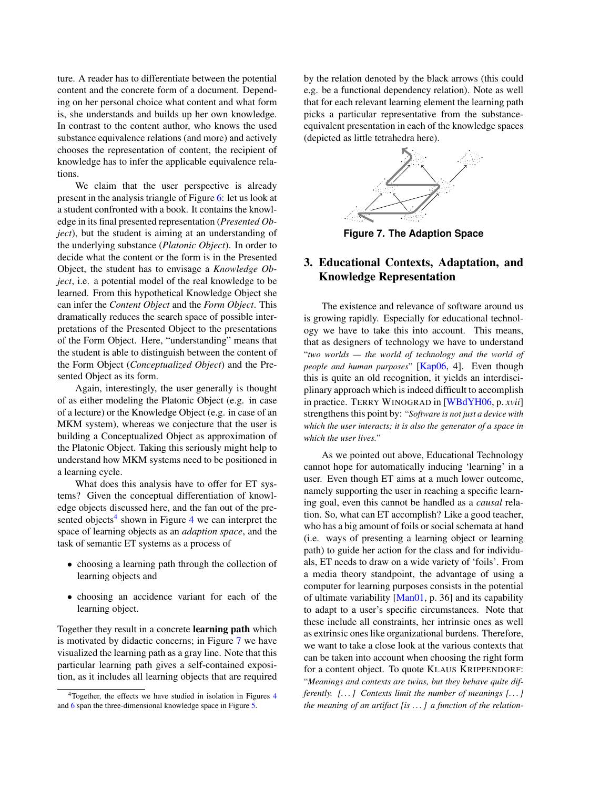ture. A reader has to differentiate between the potential content and the concrete form of a document. Depending on her personal choice what content and what form is, she understands and builds up her own knowledge. In contrast to the content author, who knows the used substance equivalence relations (and more) and actively chooses the representation of content, the recipient of knowledge has to infer the applicable equivalence relations.

We claim that the user perspective is already present in the analysis triangle of Figure [6:](#page-5-1) let us look at a student confronted with a book. It contains the knowledge in its final presented representation (*Presented Object*), but the student is aiming at an understanding of the underlying substance (*Platonic Object*). In order to decide what the content or the form is in the Presented Object, the student has to envisage a *Knowledge Object*, i.e. a potential model of the real knowledge to be learned. From this hypothetical Knowledge Object she can infer the *Content Object* and the *Form Object*. This dramatically reduces the search space of possible interpretations of the Presented Object to the presentations of the Form Object. Here, "understanding" means that the student is able to distinguish between the content of the Form Object (*Conceptualized Object*) and the Presented Object as its form.

Again, interestingly, the user generally is thought of as either modeling the Platonic Object (e.g. in case of a lecture) or the Knowledge Object (e.g. in case of an MKM system), whereas we conjecture that the user is building a Conceptualized Object as approximation of the Platonic Object. Taking this seriously might help to understand how MKM systems need to be positioned in a learning cycle.

What does this analysis have to offer for ET systems? Given the conceptual differentiation of knowledge objects discussed here, and the fan out of the pre-sented objects<sup>[4](#page-4-0)</sup> shown in Figure 4 we can interpret the space of learning objects as an *adaption space*, and the task of semantic ET systems as a process of

- choosing a learning path through the collection of learning objects and
- choosing an accidence variant for each of the learning object.

Together they result in a concrete learning path which is motivated by didactic concerns; in Figure [7](#page-6-1) we have visualized the learning path as a gray line. Note that this particular learning path gives a self-contained exposition, as it includes all learning objects that are required

by the relation denoted by the black arrows (this could e.g. be a functional dependency relation). Note as well that for each relevant learning element the learning path picks a particular representative from the substanceequivalent presentation in each of the knowledge spaces (depicted as little tetrahedra here).



<span id="page-6-1"></span>**Figure 7. The Adaption Space**

# 3. Educational Contexts, Adaptation, and Knowledge Representation

The existence and relevance of software around us is growing rapidly. Especially for educational technology we have to take this into account. This means, that as designers of technology we have to understand "*two worlds — the world of technology and the world of people and human purposes*" [\[Kap06,](#page-21-7) 4]. Even though this is quite an old recognition, it yields an interdisciplinary approach which is indeed difficult to accomplish in practice. TERRY WINOGRAD in [\[WBdYH06,](#page-23-4) p. *xvii*] strengthens this point by: "*Software is not just a device with which the user interacts; it is also the generator of a space in which the user lives.*"

As we pointed out above, Educational Technology cannot hope for automatically inducing 'learning' in a user. Even though ET aims at a much lower outcome, namely supporting the user in reaching a specific learning goal, even this cannot be handled as a *causal* relation. So, what can ET accomplish? Like a good teacher, who has a big amount of foils or social schemata at hand (i.e. ways of presenting a learning object or learning path) to guide her action for the class and for individuals, ET needs to draw on a wide variety of 'foils'. From a media theory standpoint, the advantage of using a computer for learning purposes consists in the potential of ultimate variability [\[Man01,](#page-22-13) p. 36] and its capability to adapt to a user's specific circumstances. Note that these include all constraints, her intrinsic ones as well as extrinsic ones like organizational burdens. Therefore, we want to take a close look at the various contexts that can be taken into account when choosing the right form for a content object. To quote KLAUS KRIPPENDORF: "*Meanings and contexts are twins, but they behave quite differently. [. . . ] Contexts limit the number of meanings [. . . ] the meaning of an artifact [is . . . ] a function of the relation-*

<span id="page-6-0"></span><sup>4</sup>Together, the effects we have studied in isolation in Figures [4](#page-4-0) and [6](#page-5-1) span the three-dimensional knowledge space in Figure [5.](#page-4-1)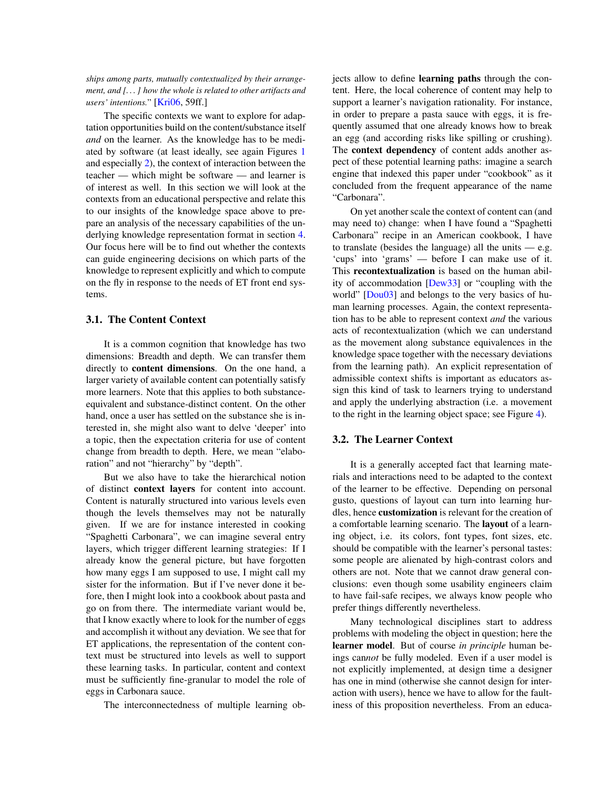*ships among parts, mutually contextualized by their arrangement, and [. . . ] how the whole is related to other artifacts and users' intentions.*" [\[Kri06,](#page-21-8) 59ff.]

The specific contexts we want to explore for adaptation opportunities build on the content/substance itself *and* on the learner. As the knowledge has to be mediated by software (at least ideally, see again Figures [1](#page-1-0) and especially [2\)](#page-1-1), the context of interaction between the teacher — which might be software — and learner is of interest as well. In this section we will look at the contexts from an educational perspective and relate this to our insights of the knowledge space above to prepare an analysis of the necessary capabilities of the underlying knowledge representation format in section [4.](#page-9-0) Our focus here will be to find out whether the contexts can guide engineering decisions on which parts of the knowledge to represent explicitly and which to compute on the fly in response to the needs of ET front end systems.

# 3.1. The Content Context

It is a common cognition that knowledge has two dimensions: Breadth and depth. We can transfer them directly to content dimensions. On the one hand, a larger variety of available content can potentially satisfy more learners. Note that this applies to both substanceequivalent and substance-distinct content. On the other hand, once a user has settled on the substance she is interested in, she might also want to delve 'deeper' into a topic, then the expectation criteria for use of content change from breadth to depth. Here, we mean "elaboration" and not "hierarchy" by "depth".

But we also have to take the hierarchical notion of distinct context layers for content into account. Content is naturally structured into various levels even though the levels themselves may not be naturally given. If we are for instance interested in cooking "Spaghetti Carbonara", we can imagine several entry layers, which trigger different learning strategies: If I already know the general picture, but have forgotten how many eggs I am supposed to use, I might call my sister for the information. But if I've never done it before, then I might look into a cookbook about pasta and go on from there. The intermediate variant would be, that I know exactly where to look for the number of eggs and accomplish it without any deviation. We see that for ET applications, the representation of the content context must be structured into levels as well to support these learning tasks. In particular, content and context must be sufficiently fine-granular to model the role of eggs in Carbonara sauce.

The interconnectedness of multiple learning ob-

jects allow to define learning paths through the content. Here, the local coherence of content may help to support a learner's navigation rationality. For instance, in order to prepare a pasta sauce with eggs, it is frequently assumed that one already knows how to break an egg (and according risks like spilling or crushing). The context dependency of content adds another aspect of these potential learning paths: imagine a search engine that indexed this paper under "cookbook" as it concluded from the frequent appearance of the name "Carbonara".

On yet another scale the context of content can (and may need to) change: when I have found a "Spaghetti Carbonara" recipe in an American cookbook, I have to translate (besides the language) all the units  $-$  e.g. 'cups' into 'grams' — before I can make use of it. This recontextualization is based on the human ability of accommodation [\[Dew33\]](#page-20-15) or "coupling with the world" [\[Dou03\]](#page-20-13) and belongs to the very basics of human learning processes. Again, the context representation has to be able to represent context *and* the various acts of recontextualization (which we can understand as the movement along substance equivalences in the knowledge space together with the necessary deviations from the learning path). An explicit representation of admissible context shifts is important as educators assign this kind of task to learners trying to understand and apply the underlying abstraction (i.e. a movement to the right in the learning object space; see Figure [4\)](#page-4-0).

# 3.2. The Learner Context

It is a generally accepted fact that learning materials and interactions need to be adapted to the context of the learner to be effective. Depending on personal gusto, questions of layout can turn into learning hurdles, hence customization is relevant for the creation of a comfortable learning scenario. The layout of a learning object, i.e. its colors, font types, font sizes, etc. should be compatible with the learner's personal tastes: some people are alienated by high-contrast colors and others are not. Note that we cannot draw general conclusions: even though some usability engineers claim to have fail-safe recipes, we always know people who prefer things differently nevertheless.

Many technological disciplines start to address problems with modeling the object in question; here the learner model. But of course *in principle* human beings can*not* be fully modeled. Even if a user model is not explicitly implemented, at design time a designer has one in mind (otherwise she cannot design for interaction with users), hence we have to allow for the faultiness of this proposition nevertheless. From an educa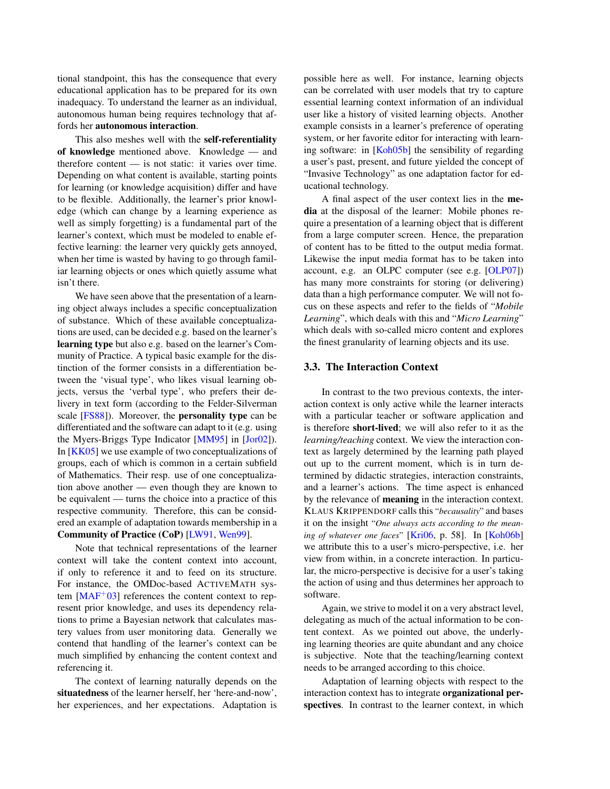tional standpoint, this has the consequence that every educational application has to be prepared for its own inadequacy. To understand the learner as an individual, autonomous human being requires technology that affords her autonomous interaction.

This also meshes well with the self-referentiality of knowledge mentioned above. Knowledge — and therefore content — is not static: it varies over time. Depending on what content is available, starting points for learning (or knowledge acquisition) differ and have to be flexible. Additionally, the learner's prior knowledge (which can change by a learning experience as well as simply forgetting) is a fundamental part of the learner's context, which must be modeled to enable effective learning: the learner very quickly gets annoyed, when her time is wasted by having to go through familiar learning objects or ones which quietly assume what isn't there.

We have seen above that the presentation of a learning object always includes a specific conceptualization of substance. Which of these available conceptualizations are used, can be decided e.g. based on the learner's learning type but also e.g. based on the learner's Community of Practice. A typical basic example for the distinction of the former consists in a differentiation between the 'visual type', who likes visual learning objects, versus the 'verbal type', who prefers their delivery in text form (according to the Felder-Silverman scale [\[FS88\]](#page-20-16)). Moreover, the personality type can be differentiated and the software can adapt to it (e.g. using the Myers-Briggs Type Indicator [\[MM95\]](#page-22-14) in [\[Jor02\]](#page-20-17)). In  $[KK05]$  we use example of two conceptualizations of groups, each of which is common in a certain subfield of Mathematics. Their resp. use of one conceptualization above another — even though they are known to be equivalent — turns the choice into a practice of this respective community. Therefore, this can be considered an example of adaptation towards membership in a Community of Practice (CoP) [\[LW91,](#page-22-15) [Wen99\]](#page-23-5).

Note that technical representations of the learner context will take the content context into account, if only to reference it and to feed on its structure. For instance, the OMDoc-based ACTIVEMATH system  $[MAF<sup>+</sup>03]$  $[MAF<sup>+</sup>03]$  references the content context to represent prior knowledge, and uses its dependency relations to prime a Bayesian network that calculates mastery values from user monitoring data. Generally we contend that handling of the learner's context can be much simplified by enhancing the content context and referencing it.

The context of learning naturally depends on the situatedness of the learner herself, her 'here-and-now', her experiences, and her expectations. Adaptation is possible here as well. For instance, learning objects can be correlated with user models that try to capture essential learning context information of an individual user like a history of visited learning objects. Another example consists in a learner's preference of operating system, or her favorite editor for interacting with learning software: in [\[Koh05b\]](#page-21-9) the sensibility of regarding a user's past, present, and future yielded the concept of "Invasive Technology" as one adaptation factor for educational technology.

A final aspect of the user context lies in the media at the disposal of the learner: Mobile phones require a presentation of a learning object that is different from a large computer screen. Hence, the preparation of content has to be fitted to the output media format. Likewise the input media format has to be taken into account, e.g. an OLPC computer (see e.g. [\[OLP07\]](#page-22-17)) has many more constraints for storing (or delivering) data than a high performance computer. We will not focus on these aspects and refer to the fields of "*Mobile Learning*", which deals with this and "*Micro Learning*" which deals with so-called micro content and explores the finest granularity of learning objects and its use.

### 3.3. The Interaction Context

In contrast to the two previous contexts, the interaction context is only active while the learner interacts with a particular teacher or software application and is therefore short-lived; we will also refer to it as the *learning/teaching* context. We view the interaction context as largely determined by the learning path played out up to the current moment, which is in turn determined by didactic strategies, interaction constraints, and a learner's actions. The time aspect is enhanced by the relevance of meaning in the interaction context. KLAUS KRIPPENDORF calls this "*becausality*" and bases it on the insight "*One always acts according to the meaning of whatever one faces*" [\[Kri06,](#page-21-8) p. 58]. In [\[Koh06b\]](#page-21-10) we attribute this to a user's micro-perspective, i.e. her view from within, in a concrete interaction. In particular, the micro-perspective is decisive for a user's taking the action of using and thus determines her approach to software.

Again, we strive to model it on a very abstract level, delegating as much of the actual information to be content context. As we pointed out above, the underlying learning theories are quite abundant and any choice is subjective. Note that the teaching/learning context needs to be arranged according to this choice.

Adaptation of learning objects with respect to the interaction context has to integrate organizational perspectives. In contrast to the learner context, in which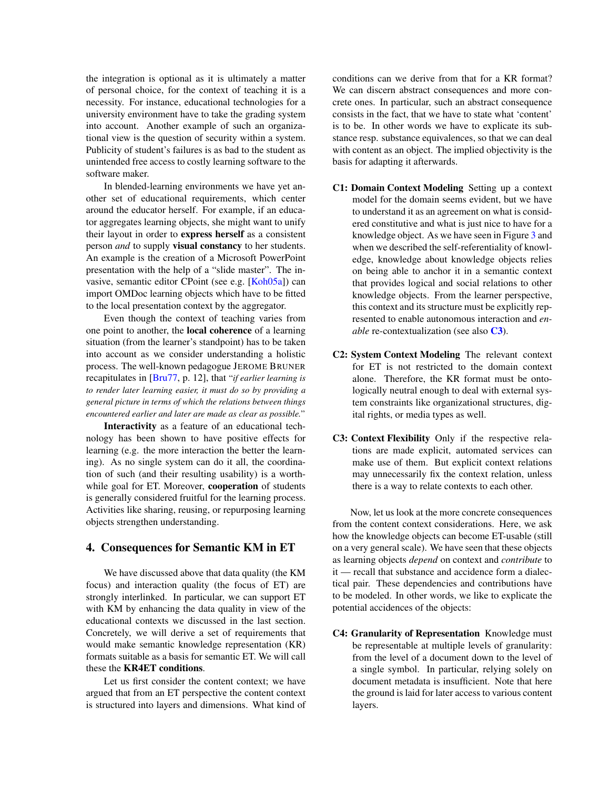the integration is optional as it is ultimately a matter of personal choice, for the context of teaching it is a necessity. For instance, educational technologies for a university environment have to take the grading system into account. Another example of such an organizational view is the question of security within a system. Publicity of student's failures is as bad to the student as unintended free access to costly learning software to the software maker.

In blended-learning environments we have yet another set of educational requirements, which center around the educator herself. For example, if an educator aggregates learning objects, she might want to unify their layout in order to express herself as a consistent person *and* to supply visual constancy to her students. An example is the creation of a Microsoft PowerPoint presentation with the help of a "slide master". The invasive, semantic editor CPoint (see e.g. [\[Koh05a\]](#page-21-11)) can import OMDoc learning objects which have to be fitted to the local presentation context by the aggregator.

Even though the context of teaching varies from one point to another, the local coherence of a learning situation (from the learner's standpoint) has to be taken into account as we consider understanding a holistic process. The well-known pedagogue JEROME BRUNER recapitulates in [\[Bru77,](#page-20-18) p. 12], that "*if earlier learning is to render later learning easier, it must do so by providing a general picture in terms of which the relations between things encountered earlier and later are made as clear as possible.*"

Interactivity as a feature of an educational technology has been shown to have positive effects for learning (e.g. the more interaction the better the learning). As no single system can do it all, the coordination of such (and their resulting usability) is a worthwhile goal for ET. Moreover, cooperation of students is generally considered fruitful for the learning process. Activities like sharing, reusing, or repurposing learning objects strengthen understanding.

# <span id="page-9-0"></span>4. Consequences for Semantic KM in ET

We have discussed above that data quality (the KM focus) and interaction quality (the focus of ET) are strongly interlinked. In particular, we can support ET with KM by enhancing the data quality in view of the educational contexts we discussed in the last section. Concretely, we will derive a set of requirements that would make semantic knowledge representation (KR) formats suitable as a basis for semantic ET. We will call these the KR4ET conditions.

Let us first consider the content context; we have argued that from an ET perspective the content context is structured into layers and dimensions. What kind of conditions can we derive from that for a KR format? We can discern abstract consequences and more concrete ones. In particular, such an abstract consequence consists in the fact, that we have to state what 'content' is to be. In other words we have to explicate its substance resp. substance equivalences, so that we can deal with content as an object. The implied objectivity is the basis for adapting it afterwards.

- <span id="page-9-3"></span>C1: Domain Context Modeling Setting up a context model for the domain seems evident, but we have to understand it as an agreement on what is considered constitutive and what is just nice to have for a knowledge object. As we have seen in Figure [3](#page-3-0) and when we described the self-referentiality of knowledge, knowledge about knowledge objects relies on being able to anchor it in a semantic context that provides logical and social relations to other knowledge objects. From the learner perspective, this context and its structure must be explicitly represented to enable autonomous interaction and *enable* re-contextualization (see also [C3](#page-9-1)).
- <span id="page-9-2"></span>C2: System Context Modeling The relevant context for ET is not restricted to the domain context alone. Therefore, the KR format must be ontologically neutral enough to deal with external system constraints like organizational structures, digital rights, or media types as well.
- <span id="page-9-1"></span>C3: Context Flexibility Only if the respective relations are made explicit, automated services can make use of them. But explicit context relations may unnecessarily fix the context relation, unless there is a way to relate contexts to each other.

Now, let us look at the more concrete consequences from the content context considerations. Here, we ask how the knowledge objects can become ET-usable (still on a very general scale). We have seen that these objects as learning objects *depend* on context and *contribute* to it — recall that substance and accidence form a dialectical pair. These dependencies and contributions have to be modeled. In other words, we like to explicate the potential accidences of the objects:

<span id="page-9-4"></span>C4: Granularity of Representation Knowledge must be representable at multiple levels of granularity: from the level of a document down to the level of a single symbol. In particular, relying solely on document metadata is insufficient. Note that here the ground is laid for later access to various content layers.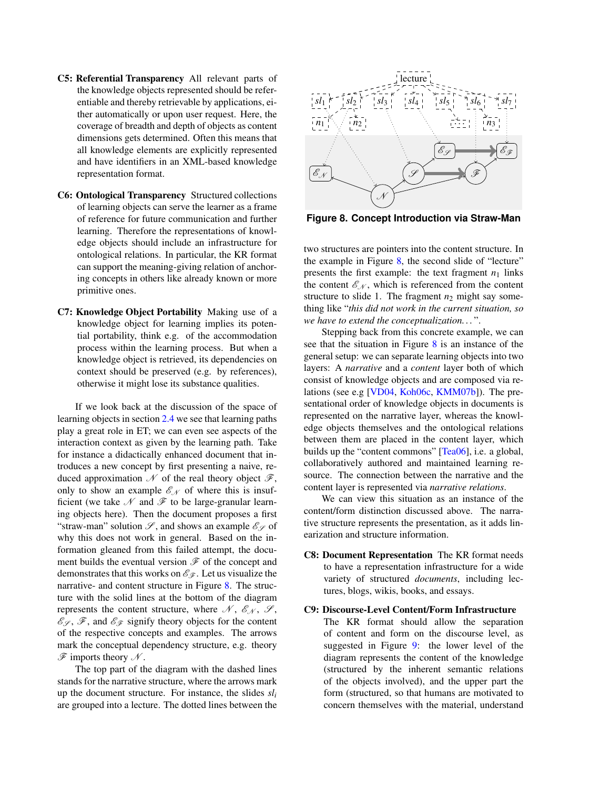- <span id="page-10-3"></span>C5: Referential Transparency All relevant parts of the knowledge objects represented should be referentiable and thereby retrievable by applications, either automatically or upon user request. Here, the coverage of breadth and depth of objects as content dimensions gets determined. Often this means that all knowledge elements are explicitly represented and have identifiers in an XML-based knowledge representation format.
- <span id="page-10-2"></span>C6: Ontological Transparency Structured collections of learning objects can serve the learner as a frame of reference for future communication and further learning. Therefore the representations of knowledge objects should include an infrastructure for ontological relations. In particular, the KR format can support the meaning-giving relation of anchoring concepts in others like already known or more primitive ones.
- <span id="page-10-4"></span>C7: Knowledge Object Portability Making use of a knowledge object for learning implies its potential portability, think e.g. of the accommodation process within the learning process. But when a knowledge object is retrieved, its dependencies on context should be preserved (e.g. by references), otherwise it might lose its substance qualities.

If we look back at the discussion of the space of learning objects in section [2.4](#page-5-2) we see that learning paths play a great role in ET; we can even see aspects of the interaction context as given by the learning path. Take for instance a didactically enhanced document that introduces a new concept by first presenting a naive, reduced approximation  $\mathcal N$  of the real theory object  $\mathcal F$ , only to show an example  $\mathscr{E}_{\mathscr{N}}$  of where this is insufficient (we take  $\mathcal N$  and  $\mathcal F$  to be large-granular learning objects here). Then the document proposes a first "straw-man" solution  $\mathscr{S}$ , and shows an example  $\mathscr{E}_{\mathscr{S}}$  of why this does not work in general. Based on the information gleaned from this failed attempt, the document builds the eventual version  $\mathscr F$  of the concept and demonstrates that this works on  $\mathcal{E}_{\mathcal{F}}$ . Let us visualize the narrative- and content structure in Figure [8.](#page-10-0) The structure with the solid lines at the bottom of the diagram represents the content structure, where N,  $\mathscr{E}_{N}$ ,  $\mathscr{S}_{N}$ ,  $\mathscr{E}_{\mathscr{S}}$ ,  $\mathscr{F}$ , and  $\mathscr{E}_{\mathscr{F}}$  signify theory objects for the content of the respective concepts and examples. The arrows mark the conceptual dependency structure, e.g. theory  $\mathscr F$  imports theory  $\mathscr N$ .

The top part of the diagram with the dashed lines stands for the narrative structure, where the arrows mark up the document structure. For instance, the slides *sl<sup>i</sup>* are grouped into a lecture. The dotted lines between the



<span id="page-10-0"></span>**Figure 8. Concept Introduction via Straw-Man**

two structures are pointers into the content structure. In the example in Figure [8,](#page-10-0) the second slide of "lecture" presents the first example: the text fragment  $n_1$  links the content  $\mathscr{E}_{N}$ , which is referenced from the content structure to slide 1. The fragment  $n_2$  might say something like "*this did not work in the current situation, so we have to extend the conceptualization. . .* ".

Stepping back from this concrete example, we can see that the situation in Figure [8](#page-10-0) is an instance of the general setup: we can separate learning objects into two layers: A *narrative* and a *content* layer both of which consist of knowledge objects and are composed via relations (see e.g [\[VD04,](#page-23-6) [Koh06c,](#page-21-1) [KMM07b\]](#page-21-12)). The presentational order of knowledge objects in documents is represented on the narrative layer, whereas the knowledge objects themselves and the ontological relations between them are placed in the content layer, which builds up the "content commons" [\[Tea06\]](#page-23-7), i.e. a global, collaboratively authored and maintained learning resource. The connection between the narrative and the content layer is represented via *narrative relations*.

We can view this situation as an instance of the content/form distinction discussed above. The narrative structure represents the presentation, as it adds linearization and structure information.

- <span id="page-10-1"></span>C8: Document Representation The KR format needs to have a representation infrastructure for a wide variety of structured *documents*, including lectures, blogs, wikis, books, and essays.
- <span id="page-10-5"></span>C9: Discourse-Level Content/Form Infrastructure The KR format should allow the separation of content and form on the discourse level, as suggested in Figure [9:](#page-11-0) the lower level of the diagram represents the content of the knowledge (structured by the inherent semantic relations of the objects involved), and the upper part the form (structured, so that humans are motivated to concern themselves with the material, understand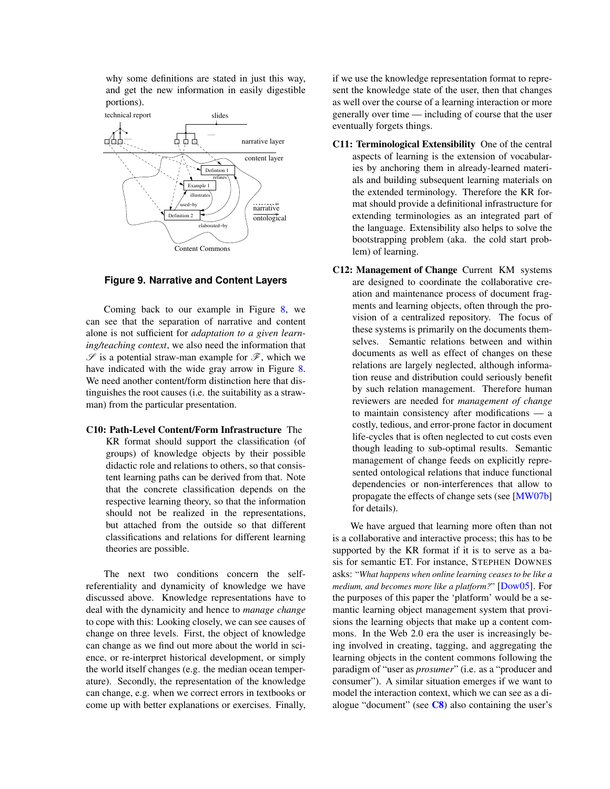why some definitions are stated in just this way, and get the new information in easily digestible portions).



<span id="page-11-0"></span>**Figure 9. Narrative and Content Layers**

Coming back to our example in Figure [8,](#page-10-0) we can see that the separation of narrative and content alone is not sufficient for *adaptation to a given learning/teaching context*, we also need the information that  $\mathscr S$  is a potential straw-man example for  $\mathscr F$ , which we have indicated with the wide gray arrow in Figure [8.](#page-10-0) We need another content/form distinction here that distinguishes the root causes (i.e. the suitability as a strawman) from the particular presentation.

<span id="page-11-2"></span>C10: Path-Level Content/Form Infrastructure The KR format should support the classification (of groups) of knowledge objects by their possible didactic role and relations to others, so that consistent learning paths can be derived from that. Note that the concrete classification depends on the respective learning theory, so that the information should not be realized in the representations, but attached from the outside so that different classifications and relations for different learning theories are possible.

The next two conditions concern the selfreferentiality and dynamicity of knowledge we have discussed above. Knowledge representations have to deal with the dynamicity and hence to *manage change* to cope with this: Looking closely, we can see causes of change on three levels. First, the object of knowledge can change as we find out more about the world in science, or re-interpret historical development, or simply the world itself changes (e.g. the median ocean temperature). Secondly, the representation of the knowledge can change, e.g. when we correct errors in textbooks or come up with better explanations or exercises. Finally,

if we use the knowledge representation format to represent the knowledge state of the user, then that changes as well over the course of a learning interaction or more generally over time — including of course that the user eventually forgets things.

- <span id="page-11-1"></span>C11: Terminological Extensibility One of the central aspects of learning is the extension of vocabularies by anchoring them in already-learned materials and building subsequent learning materials on the extended terminology. Therefore the KR format should provide a definitional infrastructure for extending terminologies as an integrated part of the language. Extensibility also helps to solve the bootstrapping problem (aka. the cold start problem) of learning.
- <span id="page-11-3"></span>C12: Management of Change Current KM systems are designed to coordinate the collaborative creation and maintenance process of document fragments and learning objects, often through the provision of a centralized repository. The focus of these systems is primarily on the documents themselves. Semantic relations between and within documents as well as effect of changes on these relations are largely neglected, although information reuse and distribution could seriously benefit by such relation management. Therefore human reviewers are needed for *management of change* to maintain consistency after modifications — a costly, tedious, and error-prone factor in document life-cycles that is often neglected to cut costs even though leading to sub-optimal results. Semantic management of change feeds on explicitly represented ontological relations that induce functional dependencies or non-interferences that allow to propagate the effects of change sets (see [\[MW07b\]](#page-22-18) for details).

We have argued that learning more often than not is a collaborative and interactive process; this has to be supported by the KR format if it is to serve as a basis for semantic ET. For instance, STEPHEN DOWNES asks: "*What happens when online learning ceases to be like a medium, and becomes more like a platform?*" [\[Dow05\]](#page-20-19). For the purposes of this paper the 'platform' would be a semantic learning object management system that provisions the learning objects that make up a content commons. In the Web 2.0 era the user is increasingly being involved in creating, tagging, and aggregating the learning objects in the content commons following the paradigm of "user as *prosumer*" (i.e. as a "producer and consumer"). A similar situation emerges if we want to model the interaction context, which we can see as a dialogue "document" (see  $C8$ ) also containing the user's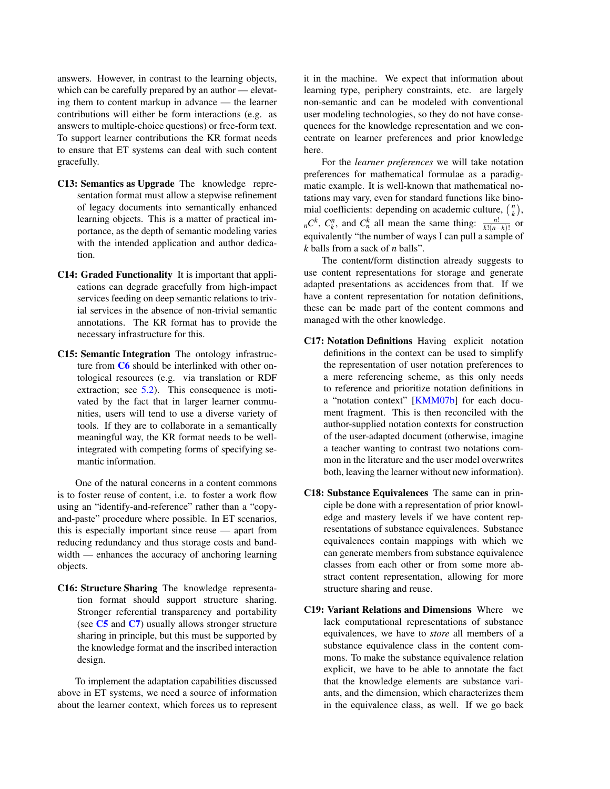answers. However, in contrast to the learning objects, which can be carefully prepared by an author — elevating them to content markup in advance — the learner contributions will either be form interactions (e.g. as answers to multiple-choice questions) or free-form text. To support learner contributions the KR format needs to ensure that ET systems can deal with such content gracefully.

- <span id="page-12-1"></span>C13: Semantics as Upgrade The knowledge representation format must allow a stepwise refinement of legacy documents into semantically enhanced learning objects. This is a matter of practical importance, as the depth of semantic modeling varies with the intended application and author dedication.
- <span id="page-12-2"></span>C14: Graded Functionality It is important that applications can degrade gracefully from high-impact services feeding on deep semantic relations to trivial services in the absence of non-trivial semantic annotations. The KR format has to provide the necessary infrastructure for this.
- <span id="page-12-3"></span>C15: Semantic Integration The ontology infrastructure from [C6](#page-10-2) should be interlinked with other ontological resources (e.g. via translation or RDF extraction; see [5.2\)](#page-15-0). This consequence is motivated by the fact that in larger learner communities, users will tend to use a diverse variety of tools. If they are to collaborate in a semantically meaningful way, the KR format needs to be wellintegrated with competing forms of specifying semantic information.

One of the natural concerns in a content commons is to foster reuse of content, i.e. to foster a work flow using an "identify-and-reference" rather than a "copyand-paste" procedure where possible. In ET scenarios, this is especially important since reuse — apart from reducing redundancy and thus storage costs and bandwidth — enhances the accuracy of anchoring learning objects.

<span id="page-12-0"></span>C16: Structure Sharing The knowledge representation format should support structure sharing. Stronger referential transparency and portability (see  $\overline{C5}$  $\overline{C5}$  $\overline{C5}$  and  $\overline{C7}$  $\overline{C7}$  $\overline{C7}$ ) usually allows stronger structure sharing in principle, but this must be supported by the knowledge format and the inscribed interaction design.

To implement the adaptation capabilities discussed above in ET systems, we need a source of information about the learner context, which forces us to represent it in the machine. We expect that information about learning type, periphery constraints, etc. are largely non-semantic and can be modeled with conventional user modeling technologies, so they do not have consequences for the knowledge representation and we concentrate on learner preferences and prior knowledge here.

For the *learner preferences* we will take notation preferences for mathematical formulae as a paradigmatic example. It is well-known that mathematical notations may vary, even for standard functions like binomial coefficients: depending on academic culture,  $\binom{n}{k}$ ,  $C^k$ ,  $C_k^n$ , and  $C_n^k$  all mean the same thing:  $\frac{n!}{k!(n-k)!}$  or equivalently "the number of ways I can pull a sample of *k* balls from a sack of *n* balls".

The content/form distinction already suggests to use content representations for storage and generate adapted presentations as accidences from that. If we have a content representation for notation definitions, these can be made part of the content commons and managed with the other knowledge.

- <span id="page-12-4"></span>C17: Notation Definitions Having explicit notation definitions in the context can be used to simplify the representation of user notation preferences to a mere referencing scheme, as this only needs to reference and prioritize notation definitions in a "notation context" [\[KMM07b\]](#page-21-12) for each document fragment. This is then reconciled with the author-supplied notation contexts for construction of the user-adapted document (otherwise, imagine a teacher wanting to contrast two notations common in the literature and the user model overwrites both, leaving the learner without new information).
- <span id="page-12-5"></span>C18: Substance Equivalences The same can in principle be done with a representation of prior knowledge and mastery levels if we have content representations of substance equivalences. Substance equivalences contain mappings with which we can generate members from substance equivalence classes from each other or from some more abstract content representation, allowing for more structure sharing and reuse.
- <span id="page-12-6"></span>C19: Variant Relations and Dimensions Where we lack computational representations of substance equivalences, we have to *store* all members of a substance equivalence class in the content commons. To make the substance equivalence relation explicit, we have to be able to annotate the fact that the knowledge elements are substance variants, and the dimension, which characterizes them in the equivalence class, as well. If we go back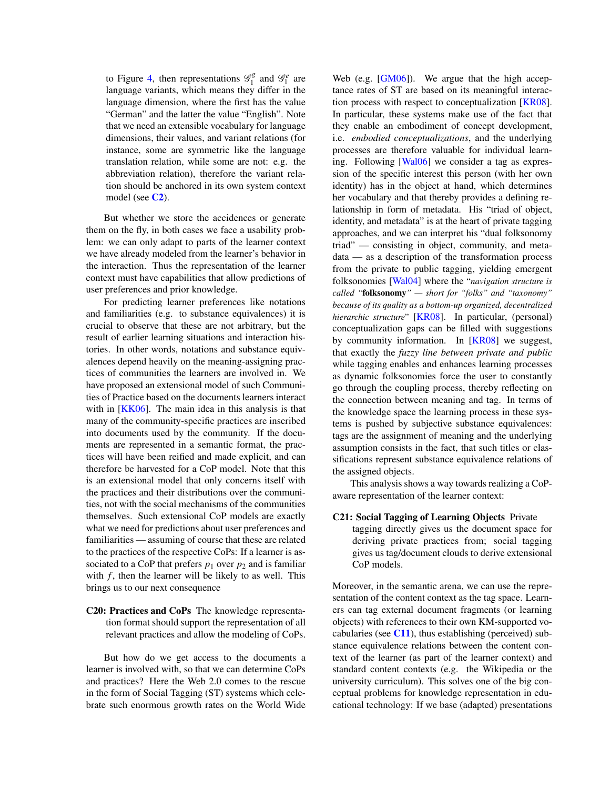to Figure [4,](#page-4-0) then representations  $\mathscr{G}_1^g$  $\frac{q}{q}$  and  $\mathcal{G}_1^e$  are language variants, which means they differ in the language dimension, where the first has the value "German" and the latter the value "English". Note that we need an extensible vocabulary for language dimensions, their values, and variant relations (for instance, some are symmetric like the language translation relation, while some are not: e.g. the abbreviation relation), therefore the variant relation should be anchored in its own system context model (see C<sub>2</sub>).

But whether we store the accidences or generate them on the fly, in both cases we face a usability problem: we can only adapt to parts of the learner context we have already modeled from the learner's behavior in the interaction. Thus the representation of the learner context must have capabilities that allow predictions of user preferences and prior knowledge.

For predicting learner preferences like notations and familiarities (e.g. to substance equivalences) it is crucial to observe that these are not arbitrary, but the result of earlier learning situations and interaction histories. In other words, notations and substance equivalences depend heavily on the meaning-assigning practices of communities the learners are involved in. We have proposed an extensional model of such Communities of Practice based on the documents learners interact with in [\[KK06\]](#page-21-13). The main idea in this analysis is that many of the community-specific practices are inscribed into documents used by the community. If the documents are represented in a semantic format, the practices will have been reified and made explicit, and can therefore be harvested for a CoP model. Note that this is an extensional model that only concerns itself with the practices and their distributions over the communities, not with the social mechanisms of the communities themselves. Such extensional CoP models are exactly what we need for predictions about user preferences and familiarities — assuming of course that these are related to the practices of the respective CoPs: If a learner is associated to a CoP that prefers  $p_1$  over  $p_2$  and is familiar with  $f$ , then the learner will be likely to as well. This brings us to our next consequence

<span id="page-13-0"></span>C20: Practices and CoPs The knowledge representation format should support the representation of all relevant practices and allow the modeling of CoPs.

But how do we get access to the documents a learner is involved with, so that we can determine CoPs and practices? Here the Web 2.0 comes to the rescue in the form of Social Tagging (ST) systems which celebrate such enormous growth rates on the World Wide Web (e.g. [\[GM06\]](#page-20-20)). We argue that the high acceptance rates of ST are based on its meaningful interaction process with respect to conceptualization [\[KR08\]](#page-21-14). In particular, these systems make use of the fact that they enable an embodiment of concept development, i.e. *embodied conceptualizations*, and the underlying processes are therefore valuable for individual learning. Following [\[Wal06\]](#page-23-8) we consider a tag as expression of the specific interest this person (with her own identity) has in the object at hand, which determines her vocabulary and that thereby provides a defining relationship in form of metadata. His "triad of object, identity, and metadata" is at the heart of private tagging approaches, and we can interpret his "dual folksonomy triad" — consisting in object, community, and metadata — as a description of the transformation process from the private to public tagging, yielding emergent folksonomies [\[Wal04\]](#page-23-9) where the "*navigation structure is called "*folksonomy*" — short for "folks" and "taxonomy" because of its quality as a bottom-up organized, decentralized hierarchic structure*" [\[KR08\]](#page-21-14). In particular, (personal) conceptualization gaps can be filled with suggestions by community information. In [\[KR08\]](#page-21-14) we suggest, that exactly the *fuzzy line between private and public* while tagging enables and enhances learning processes as dynamic folksonomies force the user to constantly go through the coupling process, thereby reflecting on the connection between meaning and tag. In terms of the knowledge space the learning process in these systems is pushed by subjective substance equivalences: tags are the assignment of meaning and the underlying assumption consists in the fact, that such titles or classifications represent substance equivalence relations of the assigned objects.

This analysis shows a way towards realizing a CoPaware representation of the learner context:

### <span id="page-13-1"></span>C21: Social Tagging of Learning Objects Private

tagging directly gives us the document space for deriving private practices from; social tagging gives us tag/document clouds to derive extensional CoP models.

Moreover, in the semantic arena, we can use the representation of the content context as the tag space. Learners can tag external document fragments (or learning objects) with references to their own KM-supported vocabularies (see  $C11$ ), thus establishing (perceived) substance equivalence relations between the content context of the learner (as part of the learner context) and standard content contexts (e.g. the Wikipedia or the university curriculum). This solves one of the big conceptual problems for knowledge representation in educational technology: If we base (adapted) presentations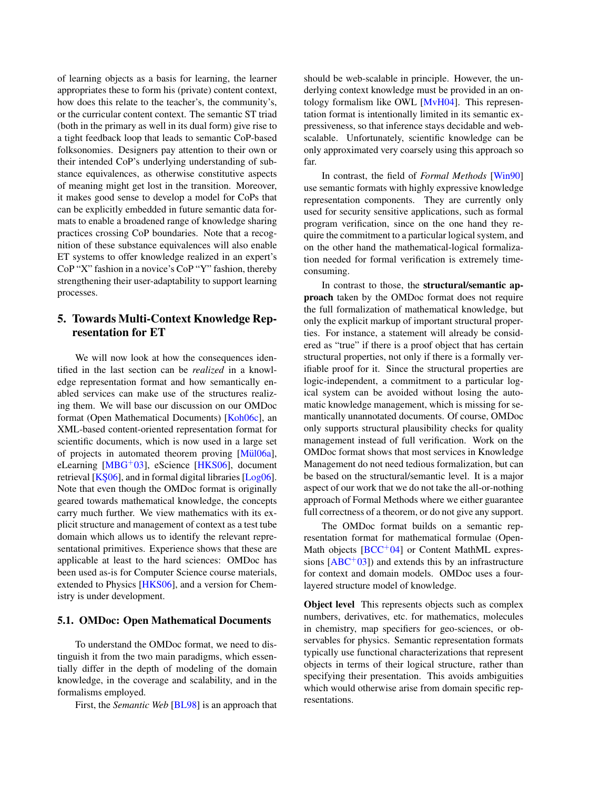of learning objects as a basis for learning, the learner appropriates these to form his (private) content context, how does this relate to the teacher's, the community's, or the curricular content context. The semantic ST triad (both in the primary as well in its dual form) give rise to a tight feedback loop that leads to semantic CoP-based folksonomies. Designers pay attention to their own or their intended CoP's underlying understanding of substance equivalences, as otherwise constitutive aspects of meaning might get lost in the transition. Moreover, it makes good sense to develop a model for CoPs that can be explicitly embedded in future semantic data formats to enable a broadened range of knowledge sharing practices crossing CoP boundaries. Note that a recognition of these substance equivalences will also enable ET systems to offer knowledge realized in an expert's CoP "X" fashion in a novice's CoP "Y" fashion, thereby strengthening their user-adaptability to support learning processes.

# 5. Towards Multi-Context Knowledge Representation for ET

We will now look at how the consequences identified in the last section can be *realized* in a knowledge representation format and how semantically enabled services can make use of the structures realizing them. We will base our discussion on our OMDoc format (Open Mathematical Documents) [\[Koh06c\]](#page-21-1), an XML-based content-oriented representation format for scientific documents, which is now used in a large set of projects in automated theorem proving [Mül06a], eLearning [\[MBG](#page-22-20)<sup>+</sup>03], eScience [\[HKS06\]](#page-20-21), document retrieval  $[K$06]$ , and in formal digital libraries  $[Log06]$ . Note that even though the OMDoc format is originally geared towards mathematical knowledge, the concepts carry much further. We view mathematics with its explicit structure and management of context as a test tube domain which allows us to identify the relevant representational primitives. Experience shows that these are applicable at least to the hard sciences: OMDoc has been used as-is for Computer Science course materials, extended to Physics [\[HKS06\]](#page-20-21), and a version for Chemistry is under development.

#### 5.1. OMDoc: Open Mathematical Documents

To understand the OMDoc format, we need to distinguish it from the two main paradigms, which essentially differ in the depth of modeling of the domain knowledge, in the coverage and scalability, and in the formalisms employed.

First, the *Semantic Web* [\[BL98\]](#page-20-22) is an approach that

should be web-scalable in principle. However, the underlying context knowledge must be provided in an ontology formalism like OWL [\[MvH04\]](#page-22-22). This representation format is intentionally limited in its semantic expressiveness, so that inference stays decidable and webscalable. Unfortunately, scientific knowledge can be only approximated very coarsely using this approach so far.

In contrast, the field of *Formal Methods* [\[Win90\]](#page-23-10) use semantic formats with highly expressive knowledge representation components. They are currently only used for security sensitive applications, such as formal program verification, since on the one hand they require the commitment to a particular logical system, and on the other hand the mathematical-logical formalization needed for formal verification is extremely timeconsuming.

In contrast to those, the structural/semantic approach taken by the OMDoc format does not require the full formalization of mathematical knowledge, but only the explicit markup of important structural properties. For instance, a statement will already be considered as "true" if there is a proof object that has certain structural properties, not only if there is a formally verifiable proof for it. Since the structural properties are logic-independent, a commitment to a particular logical system can be avoided without losing the automatic knowledge management, which is missing for semantically unannotated documents. Of course, OMDoc only supports structural plausibility checks for quality management instead of full verification. Work on the OMDoc format shows that most services in Knowledge Management do not need tedious formalization, but can be based on the structural/semantic level. It is a major aspect of our work that we do not take the all-or-nothing approach of Formal Methods where we either guarantee full correctness of a theorem, or do not give any support.

The OMDoc format builds on a semantic representation format for mathematical formulae (Open-Math objects  $[BCC^+04]$  $[BCC^+04]$  or Content MathML expressions  $[ABC+03]$  $[ABC+03]$ ) and extends this by an infrastructure for context and domain models. OMDoc uses a fourlayered structure model of knowledge.

Object level This represents objects such as complex numbers, derivatives, etc. for mathematics, molecules in chemistry, map specifiers for geo-sciences, or observables for physics. Semantic representation formats typically use functional characterizations that represent objects in terms of their logical structure, rather than specifying their presentation. This avoids ambiguities which would otherwise arise from domain specific representations.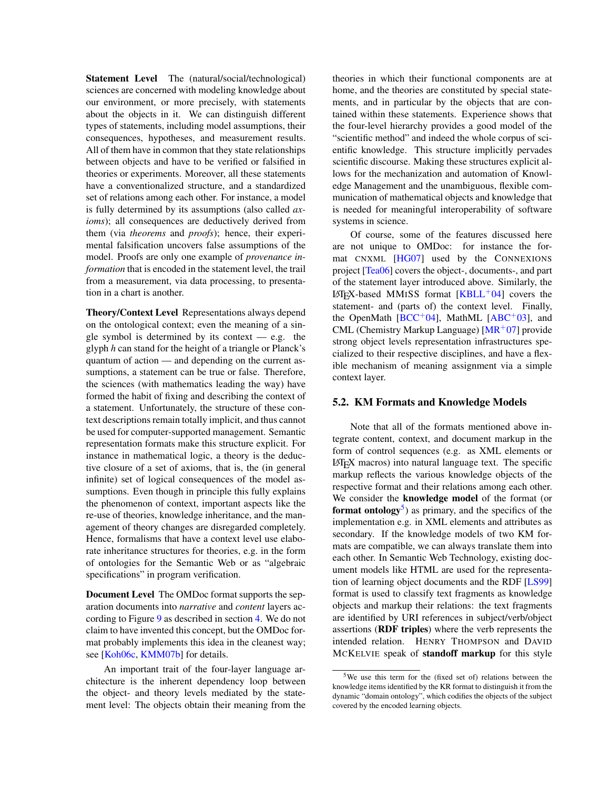Statement Level The (natural/social/technological) sciences are concerned with modeling knowledge about our environment, or more precisely, with statements about the objects in it. We can distinguish different types of statements, including model assumptions, their consequences, hypotheses, and measurement results. All of them have in common that they state relationships between objects and have to be verified or falsified in theories or experiments. Moreover, all these statements have a conventionalized structure, and a standardized set of relations among each other. For instance, a model is fully determined by its assumptions (also called *axioms*); all consequences are deductively derived from them (via *theorems* and *proofs*); hence, their experimental falsification uncovers false assumptions of the model. Proofs are only one example of *provenance information* that is encoded in the statement level, the trail from a measurement, via data processing, to presentation in a chart is another.

Theory/Context Level Representations always depend on the ontological context; even the meaning of a single symbol is determined by its context  $-$  e.g. the glyph *h* can stand for the height of a triangle or Planck's quantum of action — and depending on the current assumptions, a statement can be true or false. Therefore, the sciences (with mathematics leading the way) have formed the habit of fixing and describing the context of a statement. Unfortunately, the structure of these context descriptions remain totally implicit, and thus cannot be used for computer-supported management. Semantic representation formats make this structure explicit. For instance in mathematical logic, a theory is the deductive closure of a set of axioms, that is, the (in general infinite) set of logical consequences of the model assumptions. Even though in principle this fully explains the phenomenon of context, important aspects like the re-use of theories, knowledge inheritance, and the management of theory changes are disregarded completely. Hence, formalisms that have a context level use elaborate inheritance structures for theories, e.g. in the form of ontologies for the Semantic Web or as "algebraic specifications" in program verification.

Document Level The OMDoc format supports the separation documents into *narrative* and *content* layers according to Figure [9](#page-11-0) as described in section [4.](#page-9-0) We do not claim to have invented this concept, but the OMDoc format probably implements this idea in the cleanest way; see [\[Koh06c,](#page-21-1) [KMM07b\]](#page-21-12) for details.

An important trait of the four-layer language architecture is the inherent dependency loop between the object- and theory levels mediated by the statement level: The objects obtain their meaning from the theories in which their functional components are at home, and the theories are constituted by special statements, and in particular by the objects that are contained within these statements. Experience shows that the four-level hierarchy provides a good model of the "scientific method" and indeed the whole corpus of scientific knowledge. This structure implicitly pervades scientific discourse. Making these structures explicit allows for the mechanization and automation of Knowledge Management and the unambiguous, flexible communication of mathematical objects and knowledge that is needed for meaningful interoperability of software systems in science.

Of course, some of the features discussed here are not unique to OMDoc: for instance the format CNXML [\[HG07\]](#page-20-24) used by the CONNEXIONS project [\[Tea06\]](#page-23-7) covers the object-, documents-, and part of the statement layer introduced above. Similarly, the LATEX-based MMISS format  $[KBLL^+04]$  $[KBLL^+04]$  covers the statement- and (parts of) the context level. Finally, the OpenMath  $[BCC^+04]$  $[BCC^+04]$ , MathML  $[ABC^+03]$  $[ABC^+03]$ , and CML (Chemistry Markup Language)  $[MR<sup>+</sup>07]$  $[MR<sup>+</sup>07]$  provide strong object levels representation infrastructures specialized to their respective disciplines, and have a flexible mechanism of meaning assignment via a simple context layer.

#### <span id="page-15-0"></span>5.2. KM Formats and Knowledge Models

Note that all of the formats mentioned above integrate content, context, and document markup in the form of control sequences (e.g. as XML elements or LATEX macros) into natural language text. The specific markup reflects the various knowledge objects of the respective format and their relations among each other. We consider the knowledge model of the format (or format ontology<sup>[5](#page-15-1)</sup>) as primary, and the specifics of the implementation e.g. in XML elements and attributes as secondary. If the knowledge models of two KM formats are compatible, we can always translate them into each other. In Semantic Web Technology, existing document models like HTML are used for the representation of learning object documents and the RDF [\[LS99\]](#page-22-24) format is used to classify text fragments as knowledge objects and markup their relations: the text fragments are identified by URI references in subject/verb/object assertions (RDF triples) where the verb represents the intended relation. HENRY THOMPSON and DAVID MCKELVIE speak of standoff markup for this style

<span id="page-15-1"></span><sup>5</sup>We use this term for the (fixed set of) relations between the knowledge items identified by the KR format to distinguish it from the dynamic "domain ontology", which codifies the objects of the subject covered by the encoded learning objects.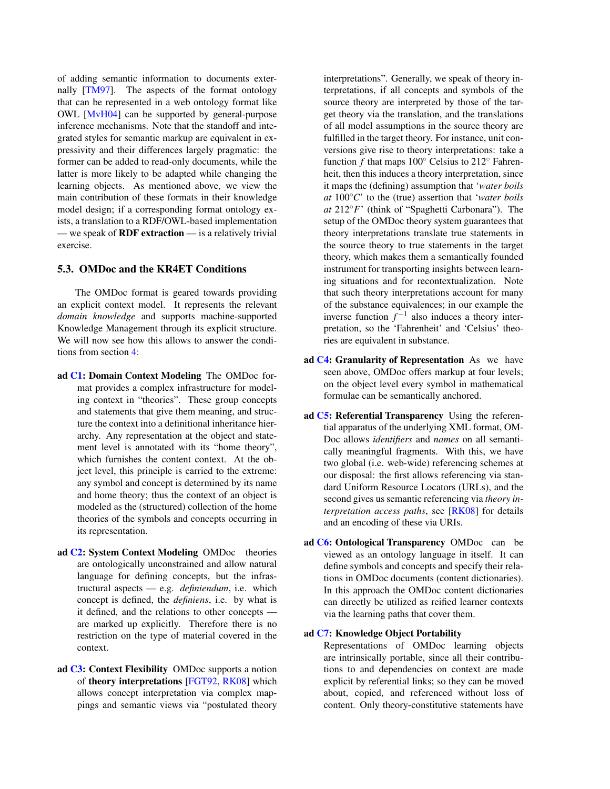of adding semantic information to documents externally [\[TM97\]](#page-23-11). The aspects of the format ontology that can be represented in a web ontology format like OWL [\[MvH04\]](#page-22-22) can be supported by general-purpose inference mechanisms. Note that the standoff and integrated styles for semantic markup are equivalent in expressivity and their differences largely pragmatic: the former can be added to read-only documents, while the latter is more likely to be adapted while changing the learning objects. As mentioned above, we view the main contribution of these formats in their knowledge model design; if a corresponding format ontology exists, a translation to a RDF/OWL-based implementation — we speak of **RDF** extraction — is a relatively trivial exercise.

### 5.3. OMDoc and the KR4ET Conditions

The OMDoc format is geared towards providing an explicit context model. It represents the relevant *domain knowledge* and supports machine-supported Knowledge Management through its explicit structure. We will now see how this allows to answer the conditions from section [4:](#page-9-0)

- ad [C1:](#page-9-3) Domain Context Modeling The OMDoc format provides a complex infrastructure for modeling context in "theories". These group concepts and statements that give them meaning, and structure the context into a definitional inheritance hierarchy. Any representation at the object and statement level is annotated with its "home theory", which furnishes the content context. At the object level, this principle is carried to the extreme: any symbol and concept is determined by its name and home theory; thus the context of an object is modeled as the (structured) collection of the home theories of the symbols and concepts occurring in its representation.
- ad [C2:](#page-9-2) System Context Modeling OMDoc theories are ontologically unconstrained and allow natural language for defining concepts, but the infrastructural aspects — e.g. *definiendum*, i.e. which concept is defined, the *definiens*, i.e. by what is it defined, and the relations to other concepts are marked up explicitly. Therefore there is no restriction on the type of material covered in the context.
- ad [C3:](#page-9-1) Context Flexibility OMDoc supports a notion of theory interpretations [\[FGT92,](#page-20-25) [RK08\]](#page-22-25) which allows concept interpretation via complex mappings and semantic views via "postulated theory

interpretations". Generally, we speak of theory interpretations, if all concepts and symbols of the source theory are interpreted by those of the target theory via the translation, and the translations of all model assumptions in the source theory are fulfilled in the target theory. For instance, unit conversions give rise to theory interpretations: take a function *f* that maps 100◦ Celsius to 212◦ Fahrenheit, then this induces a theory interpretation, since it maps the (defining) assumption that '*water boils at* 100◦*C*' to the (true) assertion that '*water boils at* 212◦*F*' (think of "Spaghetti Carbonara"). The setup of the OMDoc theory system guarantees that theory interpretations translate true statements in the source theory to true statements in the target theory, which makes them a semantically founded instrument for transporting insights between learning situations and for recontextualization. Note that such theory interpretations account for many of the substance equivalences; in our example the inverse function  $f^{-1}$  also induces a theory interpretation, so the 'Fahrenheit' and 'Celsius' theories are equivalent in substance.

- ad [C4:](#page-9-4) Granularity of Representation As we have seen above, OMDoc offers markup at four levels; on the object level every symbol in mathematical formulae can be semantically anchored.
- ad [C5:](#page-10-3) Referential Transparency Using the referential apparatus of the underlying XML format, OM-Doc allows *identifiers* and *names* on all semantically meaningful fragments. With this, we have two global (i.e. web-wide) referencing schemes at our disposal: the first allows referencing via standard Uniform Resource Locators (URLs), and the second gives us semantic referencing via *theory interpretation access paths*, see [\[RK08\]](#page-22-25) for details and an encoding of these via URIs.
- ad [C6:](#page-10-2) Ontological Transparency OMDoc can be viewed as an ontology language in itself. It can define symbols and concepts and specify their relations in OMDoc documents (content dictionaries). In this approach the OMDoc content dictionaries can directly be utilized as reified learner contexts via the learning paths that cover them.

#### ad [C7:](#page-10-4) Knowledge Object Portability

Representations of OMDoc learning objects are intrinsically portable, since all their contributions to and dependencies on context are made explicit by referential links; so they can be moved about, copied, and referenced without loss of content. Only theory-constitutive statements have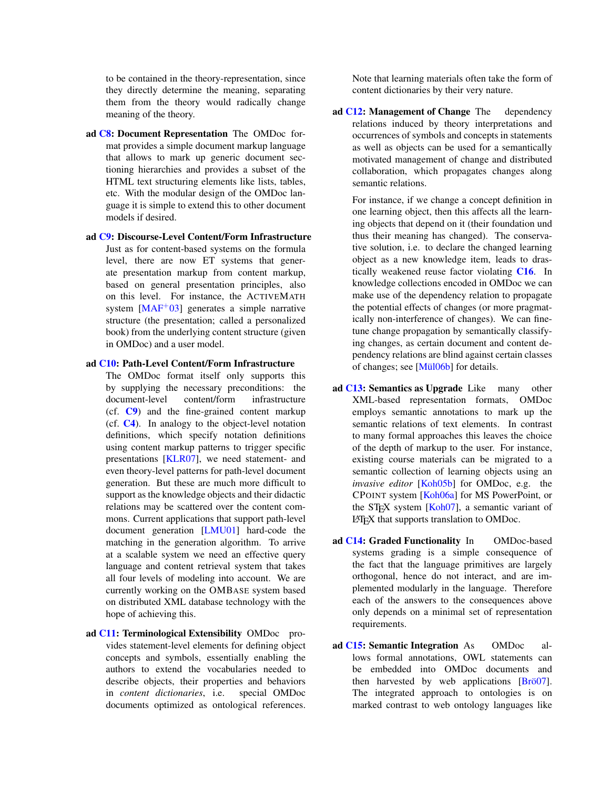to be contained in the theory-representation, since they directly determine the meaning, separating them from the theory would radically change meaning of the theory.

- ad [C8:](#page-10-1) Document Representation The OMDoc format provides a simple document markup language that allows to mark up generic document sectioning hierarchies and provides a subset of the HTML text structuring elements like lists, tables, etc. With the modular design of the OMDoc language it is simple to extend this to other document models if desired.
- ad [C9:](#page-10-5) Discourse-Level Content/Form Infrastructure Just as for content-based systems on the formula level, there are now ET systems that generate presentation markup from content markup, based on general presentation principles, also on this level. For instance, the ACTIVEMATH system  $[MAF<sup>+</sup>03]$  $[MAF<sup>+</sup>03]$  generates a simple narrative structure (the presentation; called a personalized book) from the underlying content structure (given in OMDoc) and a user model.

### ad [C10:](#page-11-2) Path-Level Content/Form Infrastructure

- The OMDoc format itself only supports this by supplying the necessary preconditions: the document-level content/form infrastructure (cf. [C9](#page-10-5)) and the fine-grained content markup (cf.  $C4$ ). In analogy to the object-level notation definitions, which specify notation definitions using content markup patterns to trigger specific presentations [\[KLR07\]](#page-21-17), we need statement- and even theory-level patterns for path-level document generation. But these are much more difficult to support as the knowledge objects and their didactic relations may be scattered over the content commons. Current applications that support path-level document generation [\[LMU01\]](#page-22-26) hard-code the matching in the generation algorithm. To arrive at a scalable system we need an effective query language and content retrieval system that takes all four levels of modeling into account. We are currently working on the OMBASE system based on distributed XML database technology with the hope of achieving this.
- ad [C11:](#page-11-1) Terminological Extensibility OMDoc provides statement-level elements for defining object concepts and symbols, essentially enabling the authors to extend the vocabularies needed to describe objects, their properties and behaviors in *content dictionaries*, i.e. special OMDoc documents optimized as ontological references.

Note that learning materials often take the form of content dictionaries by their very nature.

- ad [C12:](#page-11-3) Management of Change The dependency relations induced by theory interpretations and occurrences of symbols and concepts in statements as well as objects can be used for a semantically motivated management of change and distributed collaboration, which propagates changes along semantic relations.
	- For instance, if we change a concept definition in one learning object, then this affects all the learning objects that depend on it (their foundation und thus their meaning has changed). The conservative solution, i.e. to declare the changed learning object as a new knowledge item, leads to drastically weakened reuse factor violating [C16](#page-12-0). In knowledge collections encoded in OMDoc we can make use of the dependency relation to propagate the potential effects of changes (or more pragmatically non-interference of changes). We can finetune change propagation by semantically classifying changes, as certain document and content dependency relations are blind against certain classes of changes; see [Mül06b] for details.
- ad [C13:](#page-12-1) Semantics as Upgrade Like many other XML-based representation formats, OMDoc employs semantic annotations to mark up the semantic relations of text elements. In contrast to many formal approaches this leaves the choice of the depth of markup to the user. For instance, existing course materials can be migrated to a semantic collection of learning objects using an *invasive editor* [\[Koh05b\]](#page-21-9) for OMDoc, e.g. the CPOINT system [\[Koh06a\]](#page-21-18) for MS PowerPoint, or the ST<sub>EX</sub> system [\[Koh07\]](#page-21-19), a semantic variant of LATEX that supports translation to OMDoc.
- ad [C14:](#page-12-2) Graded Functionality In OMDoc-based systems grading is a simple consequence of the fact that the language primitives are largely orthogonal, hence do not interact, and are implemented modularly in the language. Therefore each of the answers to the consequences above only depends on a minimal set of representation requirements.
- ad [C15:](#page-12-3) Semantic Integration As OMDoc allows formal annotations, OWL statements can be embedded into OMDoc documents and then harvested by web applications  $[Br\ddot{o}07]$ . The integrated approach to ontologies is on marked contrast to web ontology languages like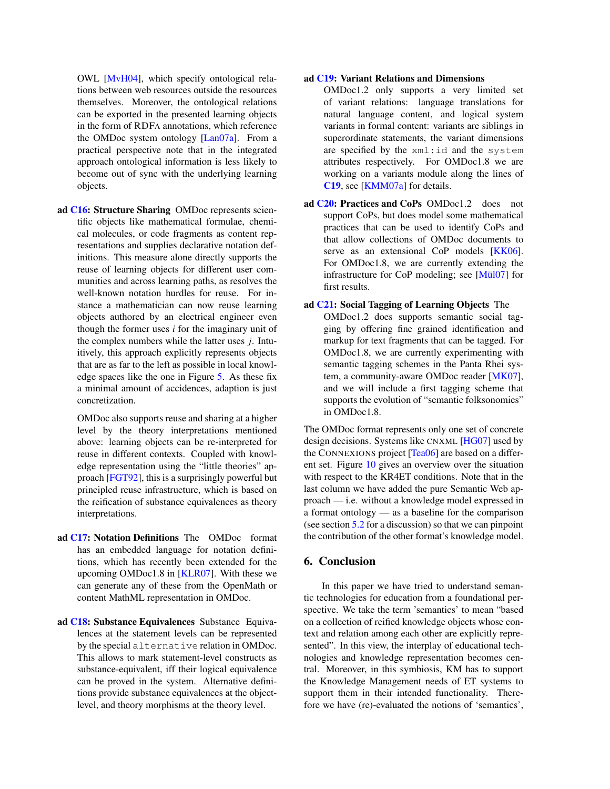OWL [\[MvH04\]](#page-22-22), which specify ontological relations between web resources outside the resources themselves. Moreover, the ontological relations can be exported in the presented learning objects in the form of RDFA annotations, which reference the OMDoc system ontology [\[Lan07a\]](#page-21-20). From a practical perspective note that in the integrated approach ontological information is less likely to become out of sync with the underlying learning objects.

ad [C16:](#page-12-0) Structure Sharing OMDoc represents scientific objects like mathematical formulae, chemical molecules, or code fragments as content representations and supplies declarative notation definitions. This measure alone directly supports the reuse of learning objects for different user communities and across learning paths, as resolves the well-known notation hurdles for reuse. For instance a mathematician can now reuse learning objects authored by an electrical engineer even though the former uses *i* for the imaginary unit of the complex numbers while the latter uses *j*. Intuitively, this approach explicitly represents objects that are as far to the left as possible in local knowledge spaces like the one in Figure [5.](#page-4-1) As these fix a minimal amount of accidences, adaption is just concretization.

OMDoc also supports reuse and sharing at a higher level by the theory interpretations mentioned above: learning objects can be re-interpreted for reuse in different contexts. Coupled with knowledge representation using the "little theories" approach [\[FGT92\]](#page-20-25), this is a surprisingly powerful but principled reuse infrastructure, which is based on the reification of substance equivalences as theory interpretations.

- ad [C17:](#page-12-4) Notation Definitions The OMDoc format has an embedded language for notation definitions, which has recently been extended for the upcoming OMDoc1.8 in [\[KLR07\]](#page-21-17). With these we can generate any of these from the OpenMath or content MathML representation in OMDoc.
- ad [C18:](#page-12-5) Substance Equivalences Substance Equivalences at the statement levels can be represented by the special alternative relation in OMDoc. This allows to mark statement-level constructs as substance-equivalent, iff their logical equivalence can be proved in the system. Alternative definitions provide substance equivalences at the objectlevel, and theory morphisms at the theory level.

#### ad [C19:](#page-12-6) Variant Relations and Dimensions

OMDoc1.2 only supports a very limited set of variant relations: language translations for natural language content, and logical system variants in formal content: variants are siblings in superordinate statements, the variant dimensions are specified by the xml:id and the system attributes respectively. For OMDoc1.8 we are working on a variants module along the lines of [C19](#page-12-6), see [\[KMM07a\]](#page-21-21) for details.

- ad [C20:](#page-13-0) Practices and CoPs OMDoc1.2 does not support CoPs, but does model some mathematical practices that can be used to identify CoPs and that allow collections of OMDoc documents to serve as an extensional CoP models [\[KK06\]](#page-21-13). For OMDoc1.8, we are currently extending the infrastructure for CoP modeling; see [Mül07] for first results.
- ad [C21:](#page-13-1) Social Tagging of Learning Objects The OMDoc1.2 does supports semantic social tagging by offering fine grained identification and markup for text fragments that can be tagged. For OMDoc1.8, we are currently experimenting with semantic tagging schemes in the Panta Rhei system, a community-aware OMDoc reader [\[MK07\]](#page-22-29), and we will include a first tagging scheme that supports the evolution of "semantic folksonomies" in OMDoc1.8.

The OMDoc format represents only one set of concrete design decisions. Systems like CNXML [\[HG07\]](#page-20-24) used by the CONNEXIONS project [\[Tea06\]](#page-23-7) are based on a different set. Figure [10](#page-19-1) gives an overview over the situation with respect to the KR4ET conditions. Note that in the last column we have added the pure Semantic Web approach — i.e. without a knowledge model expressed in a format ontology — as a baseline for the comparison (see section [5.2](#page-15-0) for a discussion) so that we can pinpoint the contribution of the other format's knowledge model.

# 6. Conclusion

In this paper we have tried to understand semantic technologies for education from a foundational perspective. We take the term 'semantics' to mean "based on a collection of reified knowledge objects whose context and relation among each other are explicitly represented". In this view, the interplay of educational technologies and knowledge representation becomes central. Moreover, in this symbiosis, KM has to support the Knowledge Management needs of ET systems to support them in their intended functionality. Therefore we have (re)-evaluated the notions of 'semantics',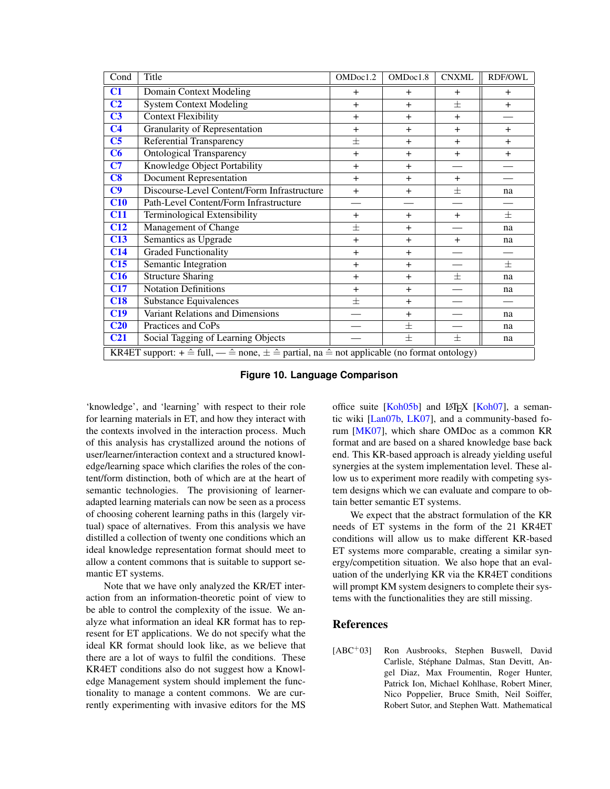| Cond                                                                                                                                   | Title                                       | OMDoc1.2 | OMDoc1.8  | <b>CNXML</b> | <b>RDF/OWL</b> |
|----------------------------------------------------------------------------------------------------------------------------------------|---------------------------------------------|----------|-----------|--------------|----------------|
| C1                                                                                                                                     | Domain Context Modeling                     | $+$      | $\ddot{}$ | $^{+}$       | $+$            |
| C <sub>2</sub>                                                                                                                         | <b>System Context Modeling</b>              | $+$      | $+$       | 士            | $+$            |
| C <sub>3</sub>                                                                                                                         | <b>Context Flexibility</b>                  | $+$      | $+$       | $+$          |                |
| C <sub>4</sub>                                                                                                                         | <b>Granularity of Representation</b>        | $+$      | $+$       | $+$          | $+$            |
| $\overline{\text{C5}}$                                                                                                                 | Referential Transparency                    | 士        | $+$       | $+$          | $+$            |
| C6                                                                                                                                     | <b>Ontological Transparency</b>             | $+$      | $+$       | $+$          | $+$            |
| C7                                                                                                                                     | Knowledge Object Portability                | $+$      | $+$       |              |                |
| C8                                                                                                                                     | <b>Document Representation</b>              | $+$      | $+$       | $+$          |                |
| C9                                                                                                                                     | Discourse-Level Content/Form Infrastructure | $+$      | $+$       | 士            | na             |
| $\overline{C10}$                                                                                                                       | Path-Level Content/Form Infrastructure      |          |           |              |                |
| $\overline{C11}$                                                                                                                       | Terminological Extensibility                | $+$      | $+$       | $+$          | $+$            |
| $\overline{C12}$                                                                                                                       | Management of Change                        | $+$      | $+$       |              | na             |
| $\overline{C13}$                                                                                                                       | Semantics as Upgrade                        | $+$      | $+$       | $+$          | na             |
| $\overline{C14}$                                                                                                                       | <b>Graded Functionality</b>                 | $+$      | $+$       |              |                |
| $\overline{C15}$                                                                                                                       | Semantic Integration                        | $+$      | $+$       |              | $+$            |
| C16                                                                                                                                    | <b>Structure Sharing</b>                    | $+$      | $+$       | $\pm$        | na             |
| $\overline{C17}$                                                                                                                       | <b>Notation Definitions</b>                 | $+$      | $+$       |              | na             |
| C18                                                                                                                                    | <b>Substance Equivalences</b>               | 士        | $+$       | $\equiv$     |                |
| C19                                                                                                                                    | Variant Relations and Dimensions            |          | $+$       |              | na             |
| C20                                                                                                                                    | Practices and CoPs                          |          | $+$       |              | na             |
| C <sub>21</sub>                                                                                                                        | Social Tagging of Learning Objects          |          | $+$       | $\pm$        | na             |
| KR4ET support: $+ \triangleq$ full, $- \triangleq$ none, $\pm \triangleq$ partial, na $\triangleq$ not applicable (no format ontology) |                                             |          |           |              |                |

<span id="page-19-1"></span>**Figure 10. Language Comparison**

'knowledge', and 'learning' with respect to their role for learning materials in ET, and how they interact with the contexts involved in the interaction process. Much of this analysis has crystallized around the notions of user/learner/interaction context and a structured knowledge/learning space which clarifies the roles of the content/form distinction, both of which are at the heart of semantic technologies. The provisioning of learneradapted learning materials can now be seen as a process of choosing coherent learning paths in this (largely virtual) space of alternatives. From this analysis we have distilled a collection of twenty one conditions which an ideal knowledge representation format should meet to allow a content commons that is suitable to support semantic ET systems.

Note that we have only analyzed the KR/ET interaction from an information-theoretic point of view to be able to control the complexity of the issue. We analyze what information an ideal KR format has to represent for ET applications. We do not specify what the ideal KR format should look like, as we believe that there are a lot of ways to fulfil the conditions. These KR4ET conditions also do not suggest how a Knowledge Management system should implement the functionality to manage a content commons. We are currently experimenting with invasive editors for the MS

office suite  $[Koh05b]$  and LAT<sub>E</sub>X  $[Koh07]$ , a semantic wiki [\[Lan07b,](#page-21-22) [LK07\]](#page-21-23), and a community-based forum [\[MK07\]](#page-22-29), which share OMDoc as a common KR format and are based on a shared knowledge base back end. This KR-based approach is already yielding useful synergies at the system implementation level. These allow us to experiment more readily with competing system designs which we can evaluate and compare to obtain better semantic ET systems.

We expect that the abstract formulation of the KR needs of ET systems in the form of the 21 KR4ET conditions will allow us to make different KR-based ET systems more comparable, creating a similar synergy/competition situation. We also hope that an evaluation of the underlying KR via the KR4ET conditions will prompt KM system designers to complete their systems with the functionalities they are still missing.

# References

<span id="page-19-0"></span>[ABC+03] Ron Ausbrooks, Stephen Buswell, David Carlisle, Stephane Dalmas, Stan Devitt, An- ´ gel Diaz, Max Froumentin, Roger Hunter, Patrick Ion, Michael Kohlhase, Robert Miner, Nico Poppelier, Bruce Smith, Neil Soiffer, Robert Sutor, and Stephen Watt. Mathematical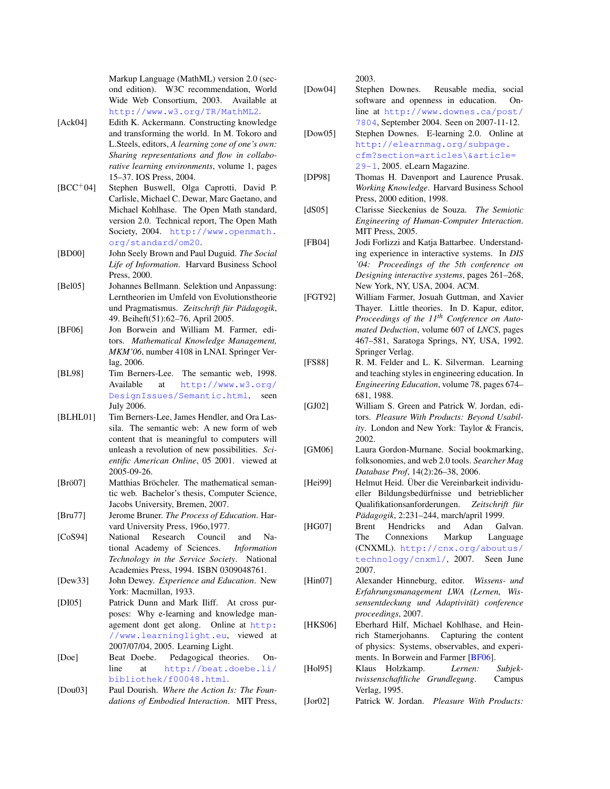Markup Language (MathML) version 2.0 (second edition). W3C recommendation, World Wide Web Consortium, 2003. Available at <http://www.w3.org/TR/MathML2>.

- <span id="page-20-14"></span>[Ack04] Edith K. Ackermann. Constructing knowledge and transforming the world. In M. Tokoro and L.Steels, editors, *A learning zone of one's own: Sharing representations and flow in collaborative learning environments*, volume 1, pages 15–37. IOS Press, 2004.
- <span id="page-20-23"></span>[BCC+04] Stephen Buswell, Olga Caprotti, David P. Carlisle, Michael C. Dewar, Marc Gaetano, and Michael Kohlhase. The Open Math standard, version 2.0. Technical report, The Open Math Society, 2004. [http://www.openmath.](http://www.openmath.org/standard/om20) [org/standard/om20](http://www.openmath.org/standard/om20).
- <span id="page-20-7"></span>[BD00] John Seely Brown and Paul Duguid. *The Social Life of Information*. Harvard Business School Press, 2000.
- <span id="page-20-8"></span>[Bel05] Johannes Bellmann. Selektion und Anpassung: Lerntheorien im Umfeld von Evolutionstheorie  $i$ und Pragmatismus. *Zeitschrift für Pädagogik*, 49. Beiheft(51):62–76, April 2005.
- <span id="page-20-27"></span>[BF06] Jon Borwein and William M. Farmer, editors. *Mathematical Knowledge Management, MKM'06*, number 4108 in LNAI. Springer Verlag, 2006.
- <span id="page-20-22"></span>[BL98] Tim Berners-Lee. The semantic web, 1998. Available at [http://www.w3.org/](http://www.w3.org/DesignIssues/Semantic.html) [DesignIssues/Semantic.html](http://www.w3.org/DesignIssues/Semantic.html), seen July 2006.
- <span id="page-20-1"></span>[BLHL01] Tim Berners-Lee, James Hendler, and Ora Lassila. The semantic web: A new form of web content that is meaningful to computers will unleash a revolution of new possibilities. *Scientific American Online*, 05 2001. viewed at 2005-09-26.
- <span id="page-20-26"></span>[Brö07] Matthias Bröcheler. The mathematical semantic web. Bachelor's thesis, Computer Science, Jacobs University, Bremen, 2007.
- <span id="page-20-18"></span>[Bru77] Jerome Bruner. *The Process of Education*. Harvard University Press, 196o,1977.
- <span id="page-20-0"></span>[CoS94] National Research Council and National Academy of Sciences. *Information Technology in the Service Society*. National Academies Press, 1994. ISBN 0309048761.
- <span id="page-20-15"></span>[Dew33] John Dewey. *Experience and Education*. New York: Macmillan, 1933.
- <span id="page-20-2"></span>[DI05] Patrick Dunn and Mark Iliff. At cross purposes: Why e-learning and knowledge management dont get along. Online at [http:](http://www.learninglight.eu) [//www.learninglight.eu](http://www.learninglight.eu), viewed at 2007/07/04, 2005. Learning Light.
- <span id="page-20-9"></span>[Doe] Beat Doebe. Pedagogical theories. Online at [http://beat.doebe.li/](http://beat.doebe.li/bibliothek/f00048.html) [bibliothek/f00048.html](http://beat.doebe.li/bibliothek/f00048.html).
- <span id="page-20-13"></span>[Dou03] Paul Dourish. *Where the Action Is: The Foundations of Embodied Interaction*. MIT Press,

2003.

- <span id="page-20-11"></span>[Dow04] Stephen Downes. Reusable media, social software and openness in education. Online at [http://www.downes.ca/post/](http://www.downes.ca/post/7804) [7804](http://www.downes.ca/post/7804), September 2004. Seen on 2007-11-12.
- <span id="page-20-19"></span>[Dow05] Stephen Downes. E-learning 2.0. Online at [http://elearnmag.org/subpage.](http://elearnmag.org/subpage.cfm?section=articles\&article=29-1) [cfm?section=articles\&article=](http://elearnmag.org/subpage.cfm?section=articles\&article=29-1) [29-1](http://elearnmag.org/subpage.cfm?section=articles\&article=29-1), 2005. eLearn Magazine.
- <span id="page-20-6"></span>[DP98] Thomas H. Davenport and Laurence Prusak. *Working Knowledge*. Harvard Business School Press, 2000 edition, 1998.
- <span id="page-20-10"></span>[dS05] Clarisse Sieckenius de Souza. *The Semiotic Engineering of Human-Computer Interaction*. MIT Press, 2005.
- <span id="page-20-4"></span>[FB04] Jodi Forlizzi and Katja Battarbee. Understanding experience in interactive systems. In *DIS '04: Proceedings of the 5th conference on Designing interactive systems*, pages 261–268, New York, NY, USA, 2004. ACM.
- <span id="page-20-25"></span>[FGT92] William Farmer, Josuah Guttman, and Xavier Thayer. Little theories. In D. Kapur, editor, *Proceedings of the 11th Conference on Automated Deduction*, volume 607 of *LNCS*, pages 467–581, Saratoga Springs, NY, USA, 1992. Springer Verlag.
- <span id="page-20-16"></span>[FS88] R. M. Felder and L. K. Silverman. Learning and teaching styles in engineering education. In *Engineering Education*, volume 78, pages 674– 681, 1988.
- <span id="page-20-5"></span>[GJ02] William S. Green and Patrick W. Jordan, editors. *Pleasure With Products: Beyond Usability*. London and New York: Taylor & Francis, 2002.
- <span id="page-20-20"></span>[GM06] Laura Gordon-Murnane. Social bookmarking, folksonomies, and web 2.0 tools. *Searcher Mag Database Prof*, 14(2):26–38, 2006.
- <span id="page-20-3"></span>[Hei99] Helmut Heid. Über die Vereinbarkeit individueller Bildungsbedürfnisse und betrieblicher Qualifikationsanforderungen. *Zeitschrift fur¨ Pädagogik*, 2:231–244, march/april 1999.
- <span id="page-20-24"></span>[HG07] Brent Hendricks and Adan Galvan. The Connexions Markup Language (CNXML). [http://cnx.org/aboutus/](http://cnx.org/aboutus/technology/cnxml/) [technology/cnxml/](http://cnx.org/aboutus/technology/cnxml/), 2007. Seen June 2007.
- <span id="page-20-28"></span>[Hin07] Alexander Hinneburg, editor. *Wissens- und Erfahrungsmanagement LWA (Lernen, Wissensentdeckung und Adaptivitat) conference ¨ proceedings*, 2007.
- <span id="page-20-21"></span>[HKS06] Eberhard Hilf, Michael Kohlhase, and Heinrich Stamerjohanns. Capturing the content of physics: Systems, observables, and experiments. In Borwein and Farmer [\[BF06\]](#page-20-27).
- <span id="page-20-12"></span>[Hol95] Klaus Holzkamp. *Lernen: Subjektwissenschaftliche Grundlegung*. Campus Verlag, 1995.
- <span id="page-20-17"></span>[Jor02] Patrick W. Jordan. *Pleasure With Products:*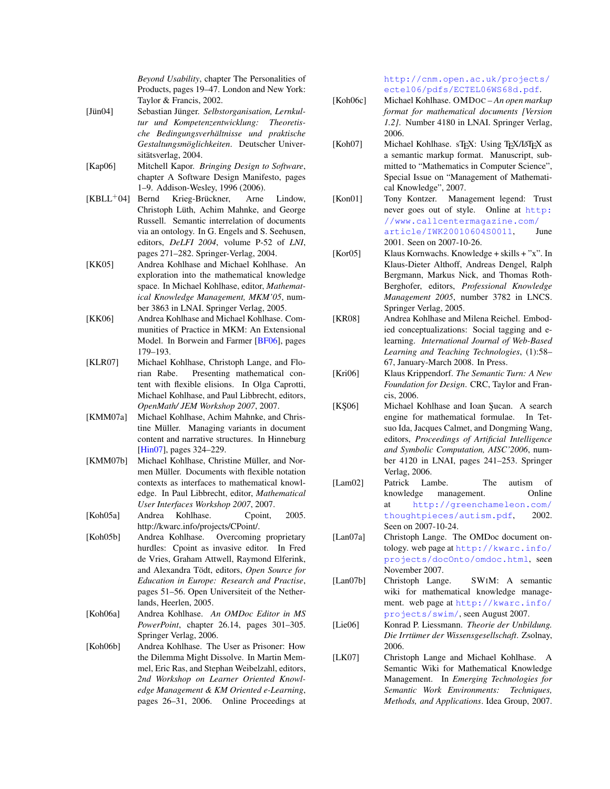*Beyond Usability*, chapter The Personalities of Products, pages 19–47. London and New York: Taylor & Francis, 2002.

- <span id="page-21-6"></span>[Jün04] Sebastian Jünger. Selbstorganisation, Lernkul*tur und Kompetenzentwicklung: Theoretische Bedingungsverhaltnisse und praktische ¨ Gestaltungsmoglichkeiten ¨* . Deutscher Universitätsverlag, 2004.
- <span id="page-21-7"></span>[Kap06] Mitchell Kapor. *Bringing Design to Software*, chapter A Software Design Manifesto, pages 1–9. Addison-Wesley, 1996 (2006).
- <span id="page-21-16"></span> $[KBLL<sup>+</sup>04]$  Bernd Krieg-Brückner, Arne Lindow, Christoph Lüth, Achim Mahnke, and George Russell. Semantic interrelation of documents via an ontology. In G. Engels and S. Seehusen, editors, *DeLFI 2004*, volume P-52 of *LNI*, pages 271–282. Springer-Verlag, 2004.
- <span id="page-21-5"></span>[KK05] Andrea Kohlhase and Michael Kohlhase. An exploration into the mathematical knowledge space. In Michael Kohlhase, editor, *Mathematical Knowledge Management, MKM'05*, number 3863 in LNAI. Springer Verlag, 2005.
- <span id="page-21-13"></span>[KK06] Andrea Kohlhase and Michael Kohlhase. Communities of Practice in MKM: An Extensional Model. In Borwein and Farmer [\[BF06\]](#page-20-27), pages 179–193.
- <span id="page-21-17"></span>[KLR07] Michael Kohlhase, Christoph Lange, and Florian Rabe. Presenting mathematical content with flexible elisions. In Olga Caprotti, Michael Kohlhase, and Paul Libbrecht, editors, *OpenMath/ JEM Workshop 2007*, 2007.
- <span id="page-21-21"></span>[KMM07a] Michael Kohlhase, Achim Mahnke, and Christine Müller. Managing variants in document content and narrative structures. In Hinneburg [\[Hin07\]](#page-20-28), pages 324–229.
- <span id="page-21-12"></span>[KMM07b] Michael Kohlhase, Christine Müller, and Normen Müller. Documents with flexible notation contexts as interfaces to mathematical knowledge. In Paul Libbrecht, editor, *Mathematical User Interfaces Workshop 2007*, 2007.
- <span id="page-21-11"></span>[Koh05a] Andrea Kohlhase. Cpoint, 2005. http://kwarc.info/projects/CPoint/.
- <span id="page-21-9"></span>[Koh05b] Andrea Kohlhase. Overcoming proprietary hurdles: Cpoint as invasive editor. In Fred de Vries, Graham Attwell, Raymond Elferink, and Alexandra Tödt, editors, Open Source for *Education in Europe: Research and Practise*, pages 51–56. Open Universiteit of the Netherlands, Heerlen, 2005.
- <span id="page-21-18"></span>[Koh06a] Andrea Kohlhase. *An OMDoc Editor in MS PowerPoint*, chapter 26.14, pages 301–305. Springer Verlag, 2006.
- <span id="page-21-10"></span>[Koh06b] Andrea Kohlhase. The User as Prisoner: How the Dilemma Might Dissolve. In Martin Memmel, Eric Ras, and Stephan Weibelzahl, editors, *2nd Workshop on Learner Oriented Knowledge Management & KM Oriented e-Learning*, pages 26–31, 2006. Online Proceedings at

[http://cnm.open.ac.uk/projects/](http://cnm.open.ac.uk/projects/ectel06/pdfs/ECTEL06WS68d.pdf) [ectel06/pdfs/ECTEL06WS68d.pdf](http://cnm.open.ac.uk/projects/ectel06/pdfs/ECTEL06WS68d.pdf).

- <span id="page-21-1"></span>[Koh06c] Michael Kohlhase. OMDOC *– An open markup format for mathematical documents [Version 1.2]*. Number 4180 in LNAI. Springer Verlag, 2006.
- <span id="page-21-19"></span>[Koh07] Michael Kohlhase. sTEX: Using TEX/LATEX as a semantic markup format. Manuscript, submitted to "Mathematics in Computer Science", Special Issue on "Management of Mathematical Knowledge", 2007.
- <span id="page-21-2"></span>[Kon01] Tony Kontzer. Management legend: Trust never goes out of style. Online at [http:](http://www.callcentermagazine.com/article/IWK20010604S0011) [//www.callcentermagazine.com/](http://www.callcentermagazine.com/article/IWK20010604S0011) [article/IWK20010604S0011](http://www.callcentermagazine.com/article/IWK20010604S0011), June 2001. Seen on 2007-10-26.
- <span id="page-21-3"></span>[Kor05] Klaus Kornwachs. Knowledge + skills + "x". In Klaus-Dieter Althoff, Andreas Dengel, Ralph Bergmann, Markus Nick, and Thomas Roth-Berghofer, editors, *Professional Knowledge Management 2005*, number 3782 in LNCS. Springer Verlag, 2005.
- <span id="page-21-14"></span>[KR08] Andrea Kohlhase and Milena Reichel. Embodied conceptualizations: Social tagging and elearning. *International Journal of Web-Based Learning and Teaching Technologies*, (1):58– 67, January-March 2008. In Press.
- <span id="page-21-8"></span>[Kri06] Klaus Krippendorf. *The Semantic Turn: A New Foundation for Design*. CRC, Taylor and Francis, 2006.
- <span id="page-21-15"></span>[KŞ06] Michael Kohlhase and Ioan Şucan. A search engine for mathematical formulae. In Tetsuo Ida, Jacques Calmet, and Dongming Wang, editors, *Proceedings of Artificial Intelligence and Symbolic Computation, AISC'2006*, number 4120 in LNAI, pages 241–253. Springer Verlag, 2006.
- <span id="page-21-4"></span>[Lam02] Patrick Lambe. The autism of knowledge management. Online at [http://greenchameleon.com/](http://greenchameleon.com/thoughtpieces/autism.pdf) [thoughtpieces/autism.pdf](http://greenchameleon.com/thoughtpieces/autism.pdf), 2002. Seen on 2007-10-24.
- <span id="page-21-20"></span>[Lan07a] Christoph Lange. The OMDoc document ontology. web page at [http://kwarc.info/](http://kwarc.info/projects/docOnto/omdoc.html) [projects/docOnto/omdoc.html](http://kwarc.info/projects/docOnto/omdoc.html), seen November 2007.
- <span id="page-21-22"></span>[Lan07b] Christoph Lange. SWIM: A semantic wiki for mathematical knowledge management. web page at [http://kwarc.info/](http://kwarc.info/projects/swim/) [projects/swim/](http://kwarc.info/projects/swim/), seen August 2007.
- <span id="page-21-0"></span>[Lie06] Konrad P. Liessmann. *Theorie der Unbildung. Die Irrtumer der Wissensgesellschaft ¨* . Zsolnay, 2006.
- <span id="page-21-23"></span>[LK07] Christoph Lange and Michael Kohlhase. A Semantic Wiki for Mathematical Knowledge Management. In *Emerging Technologies for Semantic Work Environments: Techniques, Methods, and Applications*. Idea Group, 2007.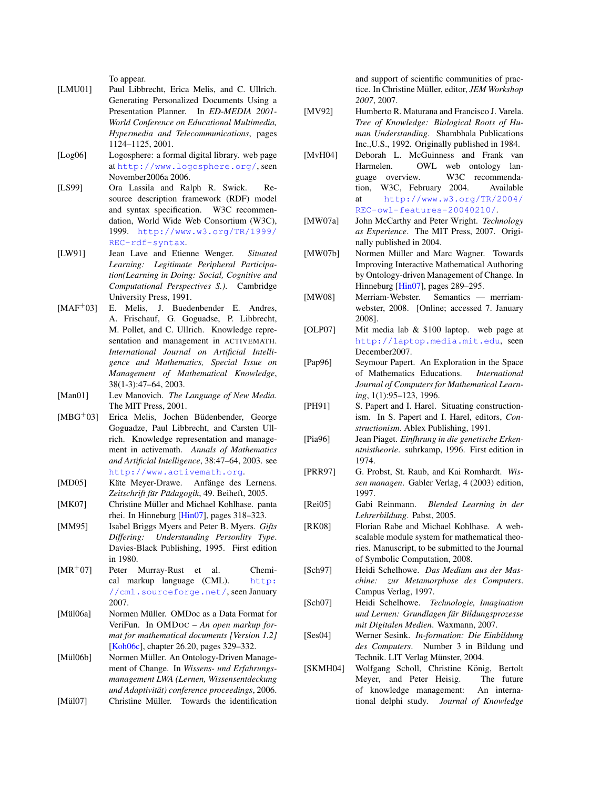To appear.

- <span id="page-22-26"></span>[LMU01] Paul Libbrecht, Erica Melis, and C. Ullrich. Generating Personalized Documents Using a Presentation Planner. In *ED-MEDIA 2001- World Conference on Educational Multimedia, Hypermedia and Telecommunications*, pages 1124–1125, 2001.
- <span id="page-22-21"></span>[Log06] Logosphere: a formal digital library. web page at <http://www.logosphere.org/>, seen November2006a 2006.
- <span id="page-22-24"></span>[LS99] Ora Lassila and Ralph R. Swick. Resource description framework (RDF) model and syntax specification. W3C recommendation, World Wide Web Consortium (W3C), 1999. [http://www.w3.org/TR/1999/](http://www.w3.org/TR/1999/REC-rdf-syntax) [REC-rdf-syntax](http://www.w3.org/TR/1999/REC-rdf-syntax).
- <span id="page-22-15"></span>[LW91] Jean Lave and Etienne Wenger. *Situated Learning: Legitimate Peripheral Participation(Learning in Doing: Social, Cognitive and Computational Perspectives S.)*. Cambridge University Press, 1991.
- <span id="page-22-16"></span>[MAF+03] E. Melis, J. Buedenbender E. Andres, A. Frischauf, G. Goguadse, P. Libbrecht, M. Pollet, and C. Ullrich. Knowledge representation and management in ACTIVEMATH. *International Journal on Artificial Intelligence and Mathematics, Special Issue on Management of Mathematical Knowledge*, 38(1-3):47–64, 2003.
- <span id="page-22-13"></span>[Man01] Lev Manovich. *The Language of New Media*. The MIT Press, 2001.
- <span id="page-22-20"></span>[MBG<sup>+</sup>03] Erica Melis, Jochen Büdenbender, George Goguadze, Paul Libbrecht, and Carsten Ullrich. Knowledge representation and management in activemath. *Annals of Mathematics and Artificial Intelligence*, 38:47–64, 2003. see <http://www.activemath.org>.
- <span id="page-22-12"></span>[MD05] Käte Meyer-Drawe. Anfänge des Lernens. *Zeitschrift fur P ¨ adagogik ¨* , 49. Beiheft, 2005.
- <span id="page-22-29"></span>[MK07] Christine Müller and Michael Kohlhase. panta rhei. In Hinneburg [\[Hin07\]](#page-20-28), pages 318–323.
- <span id="page-22-14"></span>[MM95] Isabel Briggs Myers and Peter B. Myers. *Gifts Differing: Understanding Personlity Type*. Davies-Black Publishing, 1995. First edition in 1980.
- <span id="page-22-23"></span>[MR+07] Peter Murray-Rust et al. Chemical markup language (CML). [http:](http://cml.sourceforge.net/) [//cml.sourceforge.net/](http://cml.sourceforge.net/), seen January 2007.
- <span id="page-22-19"></span>[Mül06a] Normen Müller. OMDoc as a Data Format for VeriFun. In OMDOC *– An open markup format for mathematical documents [Version 1.2]* [\[Koh06c\]](#page-21-1), chapter 26.20, pages 329–332.
- <span id="page-22-28"></span><span id="page-22-27"></span>[Mül06b] Normen Müller. An Ontology-Driven Management of Change. In *Wissens- und Erfahrungsmanagement LWA (Lernen, Wissensentdeckung und Adaptivität) conference proceedings*, 2006. [Mül07] Christine Müller. Towards the identification

and support of scientific communities of practice. In Christine Müller, editor, *JEM Workshop 2007*, 2007.

- <span id="page-22-10"></span>[MV92] Humberto R. Maturana and Francisco J. Varela. *Tree of Knowledge: Biological Roots of Human Understanding*. Shambhala Publications Inc.,U.S., 1992. Originally published in 1984.
- <span id="page-22-22"></span>[MvH04] Deborah L. McGuinness and Frank van Harmelen. OWL web ontology language overview. W3C recommendation, W3C, February 2004. Available at [http://www.w3.org/TR/2004/](http://www.w3.org/TR/2004/REC-owl-features-20040210/) [REC-owl-features-20040210/](http://www.w3.org/TR/2004/REC-owl-features-20040210/).
- <span id="page-22-0"></span>[MW07a] John McCarthy and Peter Wright. *Technology as Experience*. The MIT Press, 2007. Originally published in 2004.
- <span id="page-22-18"></span>[MW07b] Normen Müller and Marc Wagner. Towards Improving Interactive Mathematical Authoring by Ontology-driven Management of Change. In Hinneburg [\[Hin07\]](#page-20-28), pages 289–295.
- <span id="page-22-1"></span>[MW08] Merriam-Webster. Semantics — merriamwebster, 2008. [Online; accessed 7. January 2008].
- <span id="page-22-17"></span>[OLP07] Mit media lab & \$100 laptop. web page at <http://laptop.media.mit.edu>, seen December2007.
- <span id="page-22-2"></span>[Pap96] Seymour Papert. An Exploration in the Space of Mathematics Educations. *International Journal of Computers for Mathematical Learning*, 1(1):95–123, 1996.
- <span id="page-22-11"></span>[PH91] S. Papert and I. Harel. Situating constructionism. In S. Papert and I. Harel, editors, *Constructionism*. Ablex Publishing, 1991.
- <span id="page-22-9"></span>[Pia96] Jean Piaget. *Einfhrung in die genetische Erkenntnistheorie*. suhrkamp, 1996. First edition in 1974.
- <span id="page-22-5"></span>[PRR97] G. Probst, St. Raub, and Kai Romhardt. *Wissen managen*. Gabler Verlag, 4 (2003) edition, 1997.
- <span id="page-22-8"></span>[Rei05] Gabi Reinmann. *Blended Learning in der Lehrerbildung*. Pabst, 2005.
- <span id="page-22-25"></span>[RK08] Florian Rabe and Michael Kohlhase. A webscalable module system for mathematical theories. Manuscript, to be submitted to the Journal of Symbolic Computation, 2008.
- <span id="page-22-7"></span>[Sch97] Heidi Schelhowe. *Das Medium aus der Maschine: zur Metamorphose des Computers*. Campus Verlag, 1997.
- <span id="page-22-6"></span>[Sch07] Heidi Schelhowe. *Technologie, Imagination und Lernen: Grundlagen fur Bildungsprozesse ¨ mit Digitalen Medien*. Waxmann, 2007.
- <span id="page-22-3"></span>[Ses04] Werner Sesink. *In-formation: Die Einbildung des Computers*. Number 3 in Bildung und Technik. LIT Verlag Münster, 2004.
- <span id="page-22-4"></span>[SKMH04] Wolfgang Scholl, Christine König, Bertolt Meyer, and Peter Heisig. The future of knowledge management: An international delphi study. *Journal of Knowledge*